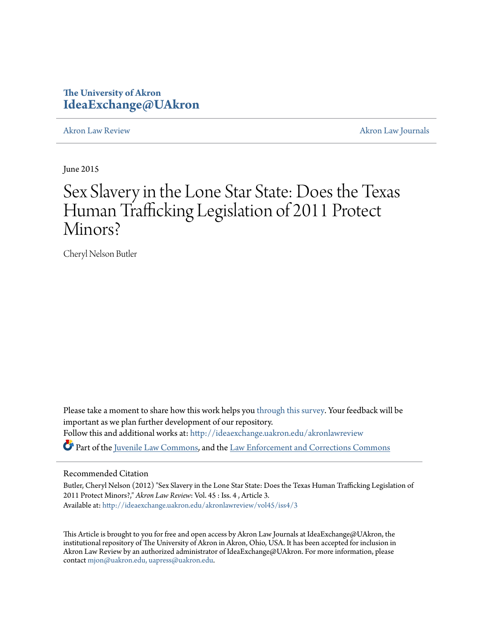### **The University of Akron [IdeaExchange@UAkron](http://ideaexchange.uakron.edu?utm_source=ideaexchange.uakron.edu%2Fakronlawreview%2Fvol45%2Fiss4%2F3&utm_medium=PDF&utm_campaign=PDFCoverPages)**

[Akron Law Review](http://ideaexchange.uakron.edu/akronlawreview?utm_source=ideaexchange.uakron.edu%2Fakronlawreview%2Fvol45%2Fiss4%2F3&utm_medium=PDF&utm_campaign=PDFCoverPages) [Akron Law Journals](http://ideaexchange.uakron.edu/akronlawjournals?utm_source=ideaexchange.uakron.edu%2Fakronlawreview%2Fvol45%2Fiss4%2F3&utm_medium=PDF&utm_campaign=PDFCoverPages)

June 2015

# Sex Slavery in the Lone Star State: Does the Texas Human Trafficking Legislation of 2011 Protect Minors?

Cheryl Nelson Butler

Please take a moment to share how this work helps you [through this survey.](http://survey.az1.qualtrics.com/SE/?SID=SV_eEVH54oiCbOw05f&URL=http://ideaexchange.uakron.edu/akronlawreview/vol45/iss4/3) Your feedback will be important as we plan further development of our repository. Follow this and additional works at: [http://ideaexchange.uakron.edu/akronlawreview](http://ideaexchange.uakron.edu/akronlawreview?utm_source=ideaexchange.uakron.edu%2Fakronlawreview%2Fvol45%2Fiss4%2F3&utm_medium=PDF&utm_campaign=PDFCoverPages) Part of the [Juvenile Law Commons](http://network.bepress.com/hgg/discipline/851?utm_source=ideaexchange.uakron.edu%2Fakronlawreview%2Fvol45%2Fiss4%2F3&utm_medium=PDF&utm_campaign=PDFCoverPages), and the [Law Enforcement and Corrections Commons](http://network.bepress.com/hgg/discipline/854?utm_source=ideaexchange.uakron.edu%2Fakronlawreview%2Fvol45%2Fiss4%2F3&utm_medium=PDF&utm_campaign=PDFCoverPages)

### Recommended Citation

Butler, Cheryl Nelson (2012) "Sex Slavery in the Lone Star State: Does the Texas Human Trafficking Legislation of 2011 Protect Minors?," *Akron Law Review*: Vol. 45 : Iss. 4 , Article 3. Available at: [http://ideaexchange.uakron.edu/akronlawreview/vol45/iss4/3](http://ideaexchange.uakron.edu/akronlawreview/vol45/iss4/3?utm_source=ideaexchange.uakron.edu%2Fakronlawreview%2Fvol45%2Fiss4%2F3&utm_medium=PDF&utm_campaign=PDFCoverPages)

This Article is brought to you for free and open access by Akron Law Journals at IdeaExchange@UAkron, the institutional repository of The University of Akron in Akron, Ohio, USA. It has been accepted for inclusion in Akron Law Review by an authorized administrator of IdeaExchange@UAkron. For more information, please contact [mjon@uakron.edu, uapress@uakron.edu.](mailto:mjon@uakron.edu,%20uapress@uakron.edu)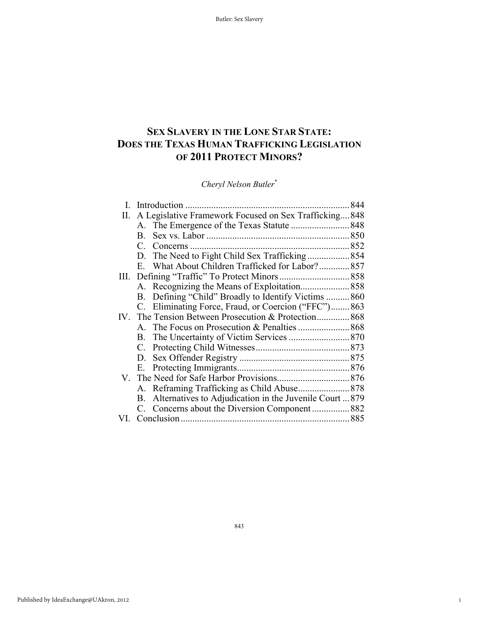## **SEX SLAVERY IN THE LONE STAR STATE: DOES THE TEXAS HUMAN TRAFFICKING LEGISLATION OF 2011 PROTECT MINORS?**

*Cheryl Nelson Butler*\*

|      |                                                                      | 844 |
|------|----------------------------------------------------------------------|-----|
| П.   | A Legislative Framework Focused on Sex Trafficking 848               |     |
|      |                                                                      |     |
|      |                                                                      |     |
|      | $C_{-}$                                                              |     |
|      | D.                                                                   |     |
|      | E. What About Children Trafficked for Labor?857                      |     |
| III. |                                                                      |     |
|      |                                                                      |     |
|      | B. Defining "Child" Broadly to Identify Victims 860                  |     |
|      | C. Eliminating Force, Fraud, or Coercion ("FFC")863                  |     |
|      | IV. The Tension Between Prosecution & Protection 868                 |     |
|      |                                                                      |     |
|      |                                                                      |     |
|      |                                                                      |     |
|      |                                                                      |     |
|      |                                                                      |     |
|      |                                                                      |     |
|      |                                                                      |     |
|      | Alternatives to Adjudication in the Juvenile Court  879<br><b>B.</b> |     |
|      |                                                                      |     |
|      |                                                                      |     |

1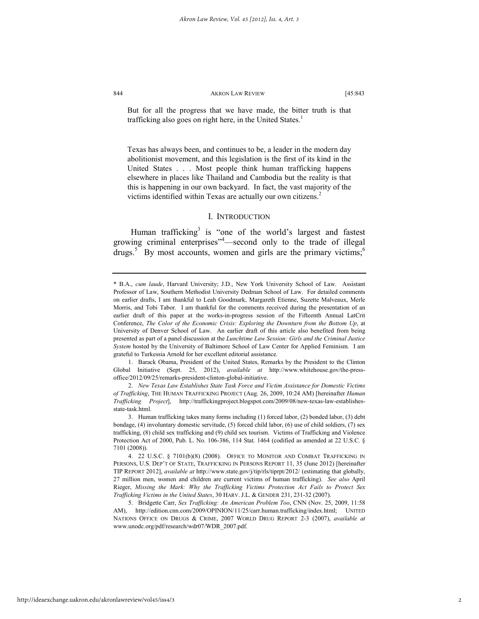But for all the progress that we have made, the bitter truth is that trafficking also goes on right here, in the United States.<sup>1</sup>

Texas has always been, and continues to be, a leader in the modern day abolitionist movement, and this legislation is the first of its kind in the United States . . . Most people think human trafficking happens elsewhere in places like Thailand and Cambodia but the reality is that this is happening in our own backyard. In fact, the vast majority of the victims identified within Texas are actually our own citizens.<sup>2</sup>

#### I. INTRODUCTION

Human trafficking<sup>3</sup> is "one of the world's largest and fastest growing criminal enterprises<sup>"4</sup>—second only to the trade of illegal drugs.<sup>5</sup> By most accounts, women and girls are the primary victims;<sup>6</sup>

<sup>\*</sup> B.A., *cum laude*, Harvard University; J.D., New York University School of Law. Assistant Professor of Law, Southern Methodist University Dedman School of Law. For detailed comments on earlier drafts, I am thankful to Leah Goodmark, Margareth Etienne, Suzette Malveaux, Merle Morris, and Tobi Tabor. I am thankful for the comments received during the presentation of an earlier draft of this paper at the works-in-progress session of the Fifteenth Annual LatCrit Conference, *The Color of the Economic Crisis: Exploring the Downturn from the Bottom Up*, at University of Denver School of Law. An earlier draft of this article also benefited from being presented as part of a panel discussion at the *Lunchtime Law Session: Girls and the Criminal Justice System* hosted by the University of Baltimore School of Law Center for Applied Feminism. I am grateful to Turkessia Arnold for her excellent editorial assistance.

 <sup>1.</sup> Barack Obama, President of the United States, Remarks by the President to the Clinton Global Initiative (Sept. 25, 2012), *available at* http://www.whitehouse.gov/the-pressoffice/2012/09/25/remarks-president-clinton-global-initiative.

 <sup>2.</sup> *New Texas Law Establishes State Task Force and Victim Assistance for Domestic Victims of Trafficking*, THE HUMAN TRAFFICKING PROJECT (Aug. 26, 2009, 10:24 AM) [hereinafter *Human Trafficking Project*], http://traffickingproject.blogspot.com/2009/08/new-texas-law-establishesstate-task.html.

 <sup>3.</sup> Human trafficking takes many forms including (1) forced labor, (2) bonded labor, (3) debt bondage, (4) involuntary domestic servitude, (5) forced child labor, (6) use of child soldiers, (7) sex trafficking, (8) child sex trafficking and (9) child sex tourism. Victims of Trafficking and Violence Protection Act of 2000, Pub. L. No. 106-386, 114 Stat. 1464 (codified as amended at 22 U.S.C. § 7101 (2008)).

 <sup>4. 22</sup> U.S.C. § 7101(b)(8) (2008). OFFICE TO MONITOR AND COMBAT TRAFFICKING IN PERSONS, U.S. DEP'T OF STATE, TRAFFICKING IN PERSONS REPORT 11, 35 (June 2012) [hereinafter TIP REPORT 2012], *available at* http://www.state.gov/j/tip/rls/tiprpt/2012/ (estimating that globally, 27 million men, women and children are current victims of human trafficking). *See also* April Rieger, *Missing the Mark: Why the Trafficking Victims Protection Act Fails to Protect Sex Trafficking Victims in the United States*, 30 HARV. J.L. & GENDER 231, 231-32 (2007).

 <sup>5.</sup> Bridgette Carr, *Sex Trafficking: An American Problem Too*, CNN (Nov. 25, 2009, 11:58 AM), http://edition.cnn.com/2009/OPINION/11/25/carr.human.trafficking/index.html; UNITED NATIONS OFFICE ON DRUGS & CRIME, 2007 WORLD DRUG REPORT 2-3 (2007), *available at*  www.unodc.org/pdf/research/wdr07/WDR\_2007.pdf.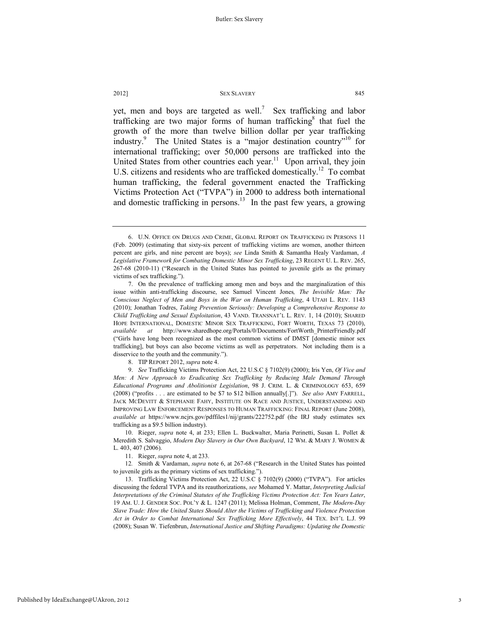yet, men and boys are targeted as well.<sup>7</sup> Sex trafficking and labor trafficking are two major forms of human trafficking $\delta$  that fuel the growth of the more than twelve billion dollar per year trafficking industry.<sup>9</sup> The United States is a "major destination country"<sup>10</sup> for international trafficking; over 50,000 persons are trafficked into the United States from other countries each year.<sup>11</sup> Upon arrival, they join U.S. citizens and residents who are trafficked domestically.<sup>12</sup> To combat human trafficking, the federal government enacted the Trafficking Victims Protection Act ("TVPA") in 2000 to address both international and domestic trafficking in persons.<sup>13</sup> In the past few years, a growing

8. TIP REPORT 2012, *supra* note 4.

 9. *See* Trafficking Victims Protection Act, 22 U.S.C § 7102(9) (2000); Iris Yen, *Of Vice and Men: A New Approach to Eradicating Sex Trafficking by Reducing Male Demand Through Educational Programs and Abolitionist Legislation*, 98 J. CRIM. L. & CRIMINOLOGY 653, 659 (2008) ("profits . . . are estimated to be \$7 to \$12 billion annually[.]"). *See also* AMY FARRELL, JACK MCDEVITT & STEPHANIE FAHY, INSTITUTE ON RACE AND JUSTICE, UNDERSTANDING AND IMPROVING LAW ENFORCEMENT RESPONSES TO HUMAN TRAFFICKING: FINAL REPORT (June 2008), *available at* https://www.ncjrs.gov/pdffiles1/nij/grants/222752.pdf (the IRJ study estimates sex trafficking as a \$9.5 billion industry).

 10. Rieger, *supra* note 4, at 233; Ellen L. Buckwalter, Maria Perinetti, Susan L. Pollet & Meredith S. Salvaggio, *Modern Day Slavery in Our Own Backyard*, 12 WM. & MARY J. WOMEN & L. 403, 407 (2006).

11. Rieger, *supra* note 4, at 233.

12*.* Smith & Vardaman, *supra* note 6, at 267-68 ("Research in the United States has pointed to juvenile girls as the primary victims of sex trafficking.").

 13. Trafficking Victims Protection Act, 22 U.S.C § 7102(9) (2000) ("TVPA"). For articles discussing the federal TVPA and its reauthorizations, *see* Mohamed Y. Mattar, *Interpreting Judicial Interpretations of the Criminal Statutes of the Trafficking Victims Protection Act: Ten Years Later*, 19 AM. U. J. GENDER SOC. POL'Y & L. 1247 (2011); Melissa Holman, Comment, *The Modern-Day Slave Trade: How the United States Should Alter the Victims of Trafficking and Violence Protection Act in Order to Combat International Sex Trafficking More Effectively*, 44 TEX. INT'L L.J. 99 (2008); Susan W. Tiefenbrun, *International Justice and Shifting Paradigms: Updating the Domestic* 

 <sup>6.</sup> U.N. OFFICE ON DRUGS AND CRIME, GLOBAL REPORT ON TRAFFICKING IN PERSONS 11 (Feb. 2009) (estimating that sixty-six percent of trafficking victims are women, another thirteen percent are girls, and nine percent are boys); *see* Linda Smith & Samantha Healy Vardaman, *A Legislative Framework for Combating Domestic Minor Sex Trafficking*, 23 REGENT U. L. REV. 265, 267-68 (2010-11) ("Research in the United States has pointed to juvenile girls as the primary victims of sex trafficking.").

 <sup>7.</sup> On the prevalence of trafficking among men and boys and the marginalization of this issue within anti-trafficking discourse, see Samuel Vincent Jones*, The Invisible Man: The Conscious Neglect of Men and Boys in the War on Human Trafficking*, 4 UTAH L. REV. 1143 (2010); Jonathan Todres, *Taking Prevention Seriously: Developing a Comprehensive Response to Child Trafficking and Sexual Exploitation*, 43 VAND. TRANSNAT'L L. REV. 1, 14 (2010); SHARED HOPE INTERNATIONAL, DOMESTIC MINOR SEX TRAFFICKING, FORT WORTH, TEXAS 73 (2010), *available at* http://www.sharedhope.org/Portals/0/Documents/FortWorth\_PrinterFriendly.pdf ("Girls have long been recognized as the most common victims of DMST [domestic minor sex trafficking], but boys can also become victims as well as perpetrators. Not including them is a disservice to the youth and the community.").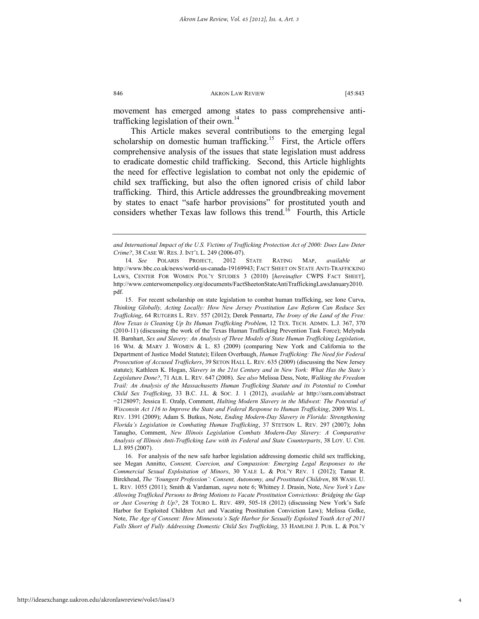movement has emerged among states to pass comprehensive antitrafficking legislation of their own.<sup>14</sup>

This Article makes several contributions to the emerging legal scholarship on domestic human trafficking.<sup>15</sup> First, the Article offers comprehensive analysis of the issues that state legislation must address to eradicate domestic child trafficking. Second, this Article highlights the need for effective legislation to combat not only the epidemic of child sex trafficking, but also the often ignored crisis of child labor trafficking. Third, this Article addresses the groundbreaking movement by states to enact "safe harbor provisions" for prostituted youth and considers whether Texas law follows this trend.<sup>16</sup> Fourth, this Article

 15. For recent scholarship on state legislation to combat human trafficking, see Ione Curva, *Thinking Globally, Acting Locally: How New Jersey Prostitution Law Reform Can Reduce Sex Trafficking*, 64 RUTGERS L. REV. 557 (2012); Derek Pennartz, *The Irony of the Land of the Free: How Texas is Cleaning Up Its Human Trafficking Problem*, 12 TEX. TECH. ADMIN. L.J. 367, 370 (2010-11) (discussing the work of the Texas Human Trafficking Prevention Task Force); Melynda H. Barnhart, *Sex and Slavery: An Analysis of Three Models of State Human Trafficking Legislation*, 16 WM. & MARY J. WOMEN & L. 83 (2009) (comparing New York and California to the Department of Justice Model Statute); Eileen Overbaugh, *Human Trafficking: The Need for Federal Prosecution of Accused Traffickers*, 39 SETON HALL L. REV. 635 (2009) (discussing the New Jersey statute); Kathleen K. Hogan, *Slavery in the 21st Century and in New York: What Has the State's Legislature Done?*, 71 ALB. L. REV. 647 (2008). *See also* Melissa Dess, Note, *Walking the Freedom Trail: An Analysis of the Massachusetts Human Trafficking Statute and its Potential to Combat Child Sex Trafficking*, 33 B.C. J.L. & SOC. J. 1 (2012), *available at* http://ssrn.com/abstract =2128097; Jessica E. Ozalp, Comment, *Halting Modern Slavery in the Midwest: The Potential of Wisconsin Act 116 to Improve the State and Federal Response to Human Trafficking*, 2009 WIS. L. REV. 1391 (2009); Adam S. Butkus, Note, *Ending Modern-Day Slavery in Florida: Strengthening Florida's Legislation in Combating Human Trafficking*, 37 STETSON L. REV. 297 (2007); John Tanagho, Comment, *New Illinois Legislation Combats Modern-Day Slavery: A Comparative Analysis of Illinois Anti-Trafficking Law with its Federal and State Counterparts*, 38 LOY. U. CHI. L.J. 895 (2007).

 16. For analysis of the new safe harbor legislation addressing domestic child sex trafficking, see Megan Annitto, *Consent, Coercion, and Compassion: Emerging Legal Responses to the Commercial Sexual Exploitation of Minors*, 30 YALE L. & POL'Y REV. 1 (2012); Tamar R. Birckhead, *The 'Youngest Profession': Consent, Autonomy, and Prostituted Children*, 88 WASH. U. L. REV. 1055 (2011); Smith & Vardaman, *supra* note 6; Whitney J. Drasin, Note, *New York's Law Allowing Trafficked Persons to Bring Motions to Vacate Prostitution Convictions: Bridging the Gap or Just Covering It Up?*, 28 TOURO L. REV. 489, 505-18 (2012) (discussing New York's Safe Harbor for Exploited Children Act and Vacating Prostitution Conviction Law); Melissa Golke, Note, *The Age of Consent: How Minnesota's Safe Harbor for Sexually Exploited Youth Act of 2011 Falls Short of Fully Addressing Domestic Child Sex Trafficking*, 33 HAMLINE J. PUB. L. & POL'Y

*and International Impact of the U.S. Victims of Trafficking Protection Act of 2000: Does Law Deter Crime?*, 38 CASE W. RES. J. INT'L L. 249 (2006-07).

<sup>14</sup>*. See* POLARIS PROJECT, 2012 STATE RATING MAP, *available at*  http://www.bbc.co.uk/news/world-us-canada-19169943; FACT SHEET ON STATE ANTI-TRAFFICKING LAWS, CENTER FOR WOMEN POL'Y STUDIES 3 (2010) [*hereinafter* CWPS FACT SHEET], http://www.centerwomenpolicy.org/documents/FactSheetonStateAntiTraffickingLawsJanuary2010. pdf.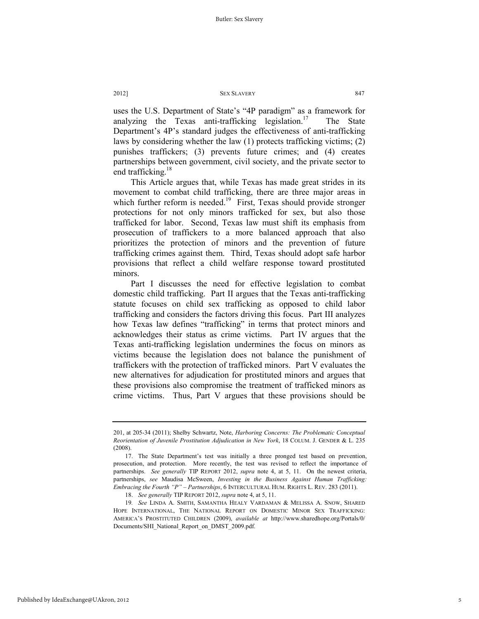uses the U.S. Department of State's "4P paradigm" as a framework for analyzing the Texas anti-trafficking legislation.<sup>17</sup> The State Department's 4P's standard judges the effectiveness of anti-trafficking laws by considering whether the law (1) protects trafficking victims; (2) punishes traffickers; (3) prevents future crimes; and (4) creates partnerships between government, civil society, and the private sector to end trafficking.<sup>18</sup>

This Article argues that, while Texas has made great strides in its movement to combat child trafficking, there are three major areas in which further reform is needed.<sup>19</sup> First, Texas should provide stronger protections for not only minors trafficked for sex, but also those trafficked for labor. Second, Texas law must shift its emphasis from prosecution of traffickers to a more balanced approach that also prioritizes the protection of minors and the prevention of future trafficking crimes against them. Third, Texas should adopt safe harbor provisions that reflect a child welfare response toward prostituted minors.

Part I discusses the need for effective legislation to combat domestic child trafficking. Part II argues that the Texas anti-trafficking statute focuses on child sex trafficking as opposed to child labor trafficking and considers the factors driving this focus. Part III analyzes how Texas law defines "trafficking" in terms that protect minors and acknowledges their status as crime victims. Part IV argues that the Texas anti-trafficking legislation undermines the focus on minors as victims because the legislation does not balance the punishment of traffickers with the protection of trafficked minors. Part V evaluates the new alternatives for adjudication for prostituted minors and argues that these provisions also compromise the treatment of trafficked minors as crime victims. Thus, Part V argues that these provisions should be

<sup>201,</sup> at 205-34 (2011); Shelby Schwartz, Note, *Harboring Concerns: The Problematic Conceptual Reorientation of Juvenile Prostitution Adjudication in New York*, 18 COLUM. J. GENDER & L. 235 (2008).

 <sup>17.</sup> The State Department's test was initially a three pronged test based on prevention, prosecution, and protection. More recently, the test was revised to reflect the importance of partnerships. *See generally* TIP REPORT 2012, *supra* note 4, at 5, 11. On the newest criteria, partnerships, *see* Maudisa McSween, *Investing in the Business Against Human Trafficking: Embracing the Fourth "P" – Partnerships*, 6 INTERCULTURAL HUM. RIGHTS L. REV. 283 (2011).

 <sup>18.</sup> *See generally* TIP REPORT 2012, *supra* note 4, at 5, 11.

<sup>19</sup>*. See* LINDA A. SMITH, SAMANTHA HEALY VARDAMAN & MELISSA A. SNOW, SHARED HOPE INTERNATIONAL, THE NATIONAL REPORT ON DOMESTIC MINOR SEX TRAFFICKING: AMERICA'S PROSTITUTED CHILDREN (2009), *available at* http://www.sharedhope.org/Portals/0/ Documents/SHI\_National\_Report\_on\_DMST\_2009.pdf.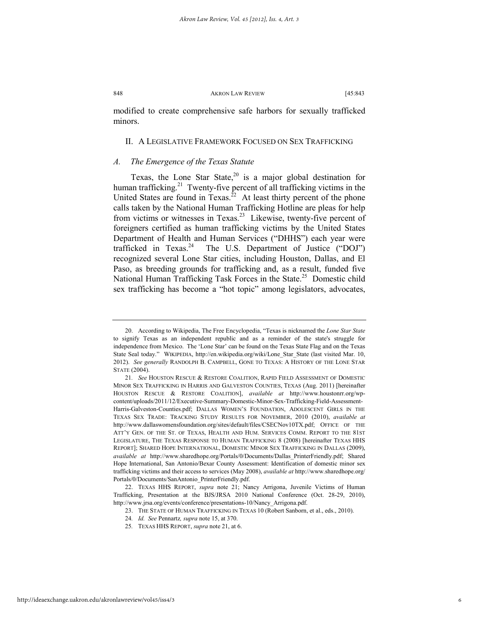modified to create comprehensive safe harbors for sexually trafficked minors.

### II. A LEGISLATIVE FRAMEWORK FOCUSED ON SEX TRAFFICKING

### *A. The Emergence of the Texas Statute*

Texas, the Lone Star State,  $20$  is a major global destination for human trafficking.<sup>21</sup> Twenty-five percent of all trafficking victims in the United States are found in Texas.<sup>22</sup> At least thirty percent of the phone calls taken by the National Human Trafficking Hotline are pleas for help from victims or witnesses in Texas.<sup>23</sup> Likewise, twenty-five percent of foreigners certified as human trafficking victims by the United States Department of Health and Human Services ("DHHS") each year were trafficked in Texas.<sup>24</sup> The U.S. Department of Justice ("DOJ") recognized several Lone Star cities, including Houston, Dallas, and El Paso, as breeding grounds for trafficking and, as a result, funded five National Human Trafficking Task Forces in the State.<sup>25</sup> Domestic child sex trafficking has become a "hot topic" among legislators, advocates,

 <sup>20.</sup> According to Wikipedia, The Free Encyclopedia, "Texas is nicknamed the *Lone Star State*  to signify Texas as an independent republic and as a reminder of the state's struggle for independence from Mexico. The 'Lone Star' can be found on the Texas State Flag and on the Texas State Seal today." WIKIPEDIA, http://en.wikipedia.org/wiki/Lone\_Star\_State (last visited Mar. 10, 2012). *See generally* RANDOLPH B. CAMPBELL, GONE TO TEXAS: A HISTORY OF THE LONE STAR STATE (2004).

<sup>21</sup>*. See* HOUSTON RESCUE & RESTORE COALITION, RAPID FIELD ASSESSMENT OF DOMESTIC MINOR SEX TRAFFICKING IN HARRIS AND GALVESTON COUNTIES, TEXAS (Aug. 2011) [hereinafter HOUSTON RESCUE & RESTORE COALITION], *available at* http://www.houstonrr.org/wpcontent/uploads/2011/12/Executive-Summary-Domestic-Minor-Sex-Trafficking-Field-Assessment-Harris-Galveston-Counties.pdf; DALLAS WOMEN'S FOUNDATION, ADOLESCENT GIRLS IN THE TEXAS SEX TRADE: TRACKING STUDY RESULTS FOR NOVEMBER, 2010 (2010), *available at*  http://www.dallaswomensfoundation.org/sites/default/files/CSECNov10TX.pdf; OFFICE OF THE ATT'Y GEN. OF THE ST. OF TEXAS, HEALTH AND HUM. SERVICES COMM. REPORT TO THE 81ST LEGISLATURE, THE TEXAS RESPONSE TO HUMAN TRAFFICKING 8 (2008) [hereinafter TEXAS HHS REPORT]; SHARED HOPE INTERNATIONAL, DOMESTIC MINOR SEX TRAFFICKING IN DALLAS (2009), *available at* http://www.sharedhope.org/Portals/0/Documents/Dallas\_PrinterFriendly.pdf; Shared Hope International, San Antonio/Bexar County Assessment: Identification of domestic minor sex trafficking victims and their access to services (May 2008), *available at* http://www.sharedhope.org/ Portals/0/Documents/SanAntonio\_PrinterFriendly.pdf.

 <sup>22.</sup> TEXAS HHS REPORT, *supra* note 21; Nancy Arrigona, Juvenile Victims of Human Trafficking, Presentation at the BJS/JRSA 2010 National Conference (Oct. 28-29, 2010), http://www.jrsa.org/events/conference/presentations-10/Nancy\_Arrigona.pdf.

 <sup>23.</sup> THE STATE OF HUMAN TRAFFICKING IN TEXAS 10 (Robert Sanborn, et al., eds., 2010).

<sup>24</sup>*. Id. See* Pennartz*, supra* note 15, at 370.

<sup>25</sup>*.* TEXAS HHS REPORT, *supra* note 21, at 6.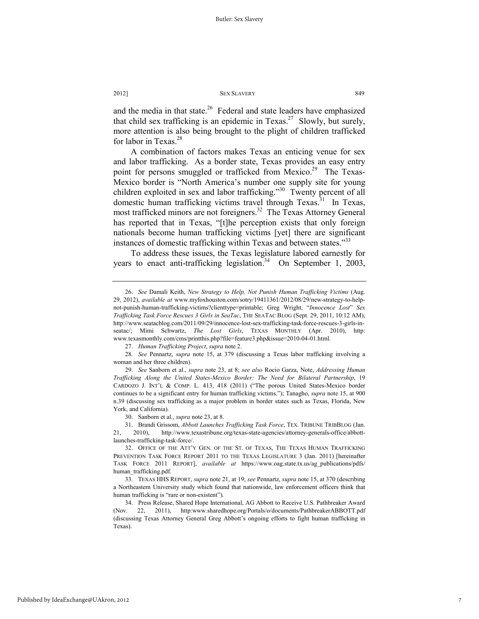and the media in that state.<sup>26</sup> Federal and state leaders have emphasized that child sex trafficking is an epidemic in Texas.<sup>27</sup> Slowly, but surely, more attention is also being brought to the plight of children trafficked for labor in Texas.<sup>28</sup>

A combination of factors makes Texas an enticing venue for sex and labor trafficking. As a border state, Texas provides an easy entry point for persons smuggled or trafficked from Mexico.<sup>29</sup> The Texas-Mexico border is "North America's number one supply site for young children exploited in sex and labor trafficking."30 Twenty percent of all domestic human trafficking victims travel through Texas.<sup>31</sup> In Texas, most trafficked minors are not foreigners.<sup>32</sup> The Texas Attorney General has reported that in Texas, "[t]he perception exists that only foreign nationals become human trafficking victims [yet] there are significant instances of domestic trafficking within Texas and between states.<sup>333</sup>

To address these issues, the Texas legislature labored earnestly for years to enact anti-trafficking legislation.<sup>34</sup> On September 1, 2003,

28*. See* Pennartz, *supra* note 15, at 379 (discussing a Texas labor trafficking involving a woman and her three children).

 <sup>26.</sup> *See* Damali Keith, *New Strategy to Help, Not Punish Human Trafficking Victims* (Aug. 29, 2012), *available at* www.myfoxhouston.com/sotry/19411361/2012/08/29/new-strategy-to-helpnot-punish-human-trafficking-victims?clienttype=printable; Greg Wright, "*Innocence Lost*" *Sex Trafficking Task Force Rescues 3 Girls in SeaTac*, THE SEATAC BLOG (Sept. 29, 2011, 10:12 AM), http://www.seatacblog.com/2011/09/29/innocence-lost-sex-trafficking-task-force-rescues-3-girls-inseatac/; Mimi Schwartz, *The Lost Girls*, TEXAS MONTHLY (Apr. 2010), http: www.texasmonthly.com/cms/printthis.php?file=feature3.php&issue=2010-04-01.html.

 <sup>27.</sup> *Human Trafficking Project*, *supra* note 2.

 <sup>29.</sup> *See* Sanborn et al., *supra* note 23, at 8; *see also* Rocio Garza, Note, *Addressing Human Trafficking Along the United States-Mexico Border: The Need for Bilateral Partnership*, 19 CARDOZO J. INT'L & COMP. L. 413, 418 (2011) ("The porous United States-Mexico border continues to be a significant entry for human trafficking victims."); Tanagho, *supra* note 15, at 900 n.39 (discussing sex trafficking as a major problem in border states such as Texas, Florida, New York, and California).

 <sup>30.</sup> Sanborn et al., *supra* note 23, at 8.

 <sup>31.</sup> Brandi Grissom, *Abbott Launches Trafficking Task Force*, TEX. TRIBUNE TRIBBLOG (Jan. 21, 2010), http://www.texastribune.org/texas-state-agencies/attorney-generals-office/abbottlaunches-trafficking-task-force/.

 <sup>32.</sup> OFFICE OF THE ATT'Y GEN. OF THE ST. OF TEXAS, THE TEXAS HUMAN TRAFFICKING PREVENTION TASK FORCE REPORT 2011 TO THE TEXAS LEGISLATURE 3 (Jan. 2011) [hereinafter TASK FORCE 2011 REPORT], *available at* https://www.oag.state.tx.us/ag\_publications/pdfs/ human\_trafficking.pdf.

<sup>33</sup>*.* TEXAS HHS REPORT, *supra* note 21, at 19; *see* Pennartz, *supra* note 15, at 370 (describing a Northeastern University study which found that nationwide, law enforcement officers think that human trafficking is "rare or non-existent").

 <sup>34.</sup> Press Release, Shared Hope International, AG Abbott to Receive U.S. Pathbreaker Award (Nov. 22, 2011), http:www.sharedhope.org/Portals/o/documents/PathbreakerABBOTT.pdf (discussing Texas Attorney General Greg Abbott's ongoing efforts to fight human trafficking in Texas).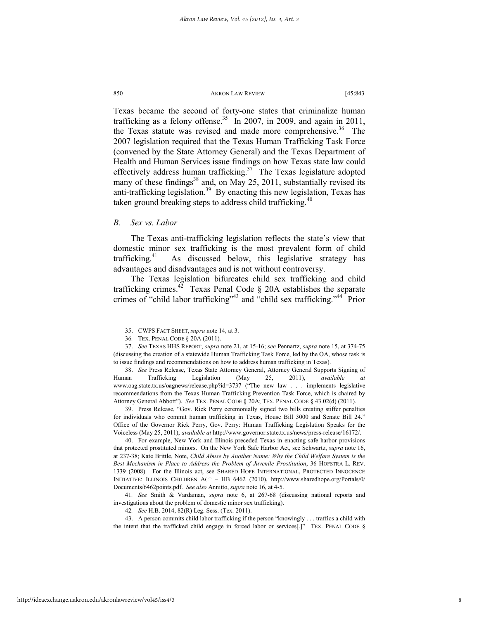Texas became the second of forty-one states that criminalize human trafficking as a felony offense.<sup>35</sup> In 2007, in 2009, and again in 2011, the Texas statute was revised and made more comprehensive.<sup>36</sup> The 2007 legislation required that the Texas Human Trafficking Task Force (convened by the State Attorney General) and the Texas Department of Health and Human Services issue findings on how Texas state law could effectively address human trafficking.<sup>37</sup> The Texas legislature adopted many of these findings<sup>38</sup> and, on May 25, 2011, substantially revised its anti-trafficking legislation.<sup>39</sup> By enacting this new legislation, Texas has taken ground breaking steps to address child trafficking.<sup>40</sup>

### *B. Sex vs. Labor*

The Texas anti-trafficking legislation reflects the state's view that domestic minor sex trafficking is the most prevalent form of child trafficking.<sup>41</sup> As discussed below, this legislative strategy has advantages and disadvantages and is not without controversy.

The Texas legislation bifurcates child sex trafficking and child trafficking crimes. $4\overline{2}$  Texas Penal Code § 20A establishes the separate crimes of "child labor trafficking"<sup>43</sup> and "child sex trafficking."<sup>44</sup> Prior

 39. Press Release, "Gov. Rick Perry ceremonially signed two bills creating stiffer penalties for individuals who commit human trafficking in Texas, House Bill 3000 and Senate Bill 24." Office of the Governor Rick Perry, Gov. Perry: Human Trafficking Legislation Speaks for the Voiceless (May 25, 2011), *available at* http://www.governor.state.tx.us/news/press-release/16172/.

 40. For example, New York and Illinois preceded Texas in enacting safe harbor provisions that protected prostituted minors. On the New York Safe Harbor Act, see Schwartz, *supra* note 16, at 237-38; Kate Brittle, Note, *Child Abuse by Another Name: Why the Child Welfare System is the Best Mechanism in Place to Address the Problem of Juvenile Prostitution*, 36 HOFSTRA L. REV. 1339 (2008). For the Illinois act, see SHARED HOPE INTERNATIONAL, PROTECTED INNOCENCE INITIATIVE: ILLINOIS CHILDREN ACT – HB 6462 (2010), http://www.sharedhope.org/Portals/0/ Documents/6462points.pdf. *See also* Annitto, *supra* note 16, at 4-5.

41*. See* Smith & Vardaman, *supra* note 6, at 267-68 (discussing national reports and investigations about the problem of domestic minor sex trafficking).

 43. A person commits child labor trafficking if the person "knowingly . . . traffics a child with the intent that the trafficked child engage in forced labor or services[.]" TEX. PENAL CODE §

 <sup>35.</sup> CWPS FACT SHEET, *supra* note 14, at 3.

<sup>36</sup>*.* TEX. PENAL CODE § 20A (2011).

 <sup>37.</sup> *See* TEXAS HHS REPORT, *supra* note 21, at 15-16; *see* Pennartz, *supra* note 15, at 374-75 (discussing the creation of a statewide Human Trafficking Task Force, led by the OA, whose task is to issue findings and recommendations on how to address human trafficking in Texas).

 <sup>38.</sup> *See* Press Release, Texas State Attorney General, Attorney General Supports Signing of Human Trafficking Legislation (May 25, 2011), *available at*  www.oag.state.tx.us/oagnews/release.php?id=3737 ("The new law . . . implements legislative recommendations from the Texas Human Trafficking Prevention Task Force, which is chaired by Attorney General Abbott"). *See* TEX. PENAL CODE § 20A; TEX. PENAL CODE § 43.02(d) (2011).

<sup>42</sup>*. See* H.B. 2014, 82(R) Leg. Sess. (Tex. 2011).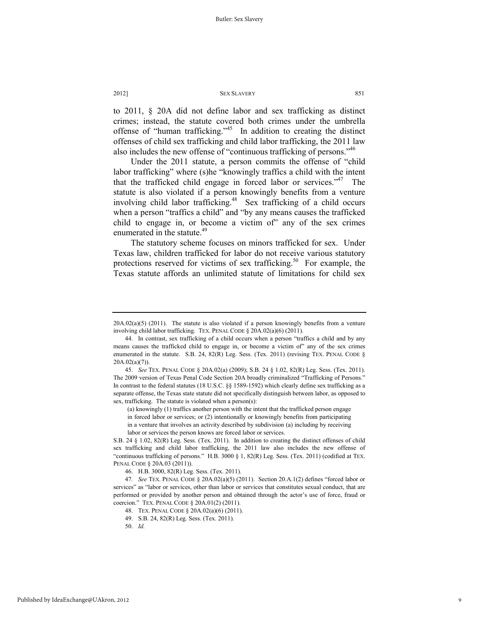to 2011, § 20A did not define labor and sex trafficking as distinct crimes; instead, the statute covered both crimes under the umbrella offense of "human trafficking."45 In addition to creating the distinct offenses of child sex trafficking and child labor trafficking, the 2011 law also includes the new offense of "continuous trafficking of persons."46

Under the 2011 statute, a person commits the offense of "child labor trafficking" where (s)he "knowingly traffics a child with the intent that the trafficked child engage in forced labor or services."<sup>47</sup> The statute is also violated if a person knowingly benefits from a venture involving child labor trafficking.<sup>48</sup> Sex trafficking of a child occurs when a person "traffics a child" and "by any means causes the trafficked child to engage in, or become a victim of" any of the sex crimes enumerated in the statute.<sup>49</sup>

The statutory scheme focuses on minors trafficked for sex. Under Texas law, children trafficked for labor do not receive various statutory protections reserved for victims of sex trafficking.<sup>50</sup> For example, the Texas statute affords an unlimited statute of limitations for child sex

 $20A.02(a)(5)$  (2011). The statute is also violated if a person knowingly benefits from a venture involving child labor trafficking. TEX. PENAL CODE § 20A.02(a)(6) (2011).

 <sup>44.</sup> In contrast, sex trafficking of a child occurs when a person "traffics a child and by any means causes the trafficked child to engage in, or become a victim of" any of the sex crimes enumerated in the statute. S.B. 24, 82(R) Leg. Sess. (Tex. 2011) (revising TEX. PENAL CODE  $\S$  $20A.02(a)(7)$ ).

 <sup>45.</sup> *See* TEX. PENAL CODE § 20A.02(a) (2009); S.B. 24 § 1.02, 82(R) Leg. Sess. (Tex. 2011). The 2009 version of Texas Penal Code Section 20A broadly criminalized "Trafficking of Persons." In contrast to the federal statutes (18 U.S.C. §§ 1589-1592) which clearly define sex trafficking as a separate offense, the Texas state statute did not specifically distinguish between labor, as opposed to sex, trafficking. The statute is violated when a person(s):

<sup>(</sup>a) knowingly (1) traffics another person with the intent that the trafficked person engage in forced labor or services; or (2) intentionally or knowingly benefits from participating

in a venture that involves an activity described by subdivision (a) including by receiving labor or services the person knows are forced labor or services.

S.B. 24 § 1.02, 82(R) Leg. Sess. (Tex. 2011). In addition to creating the distinct offenses of child sex trafficking and child labor trafficking, the 2011 law also includes the new offense of "continuous trafficking of persons." H.B. 3000 § 1, 82(R) Leg. Sess. (Tex. 2011) (codified at TEX. PENAL CODE § 20A.03 (2011)).

 <sup>46.</sup> H.B. 3000, 82(R) Leg. Sess. (Tex. 2011).

<sup>47</sup>*. See* TEX. PENAL CODE § 20A.02(a)(5) (2011). Section 20.A.1(2) defines "forced labor or services" as "labor or services, other than labor or services that constitutes sexual conduct, that are performed or provided by another person and obtained through the actor's use of force, fraud or coercion." TEX. PENAL CODE § 20A.01(2) (2011).

 <sup>48.</sup> TEX. PENAL CODE § 20A.02(a)(6) (2011).

 <sup>49.</sup> S.B. 24, 82(R) Leg. Sess. (Tex. 2011).

 <sup>50.</sup> *Id.*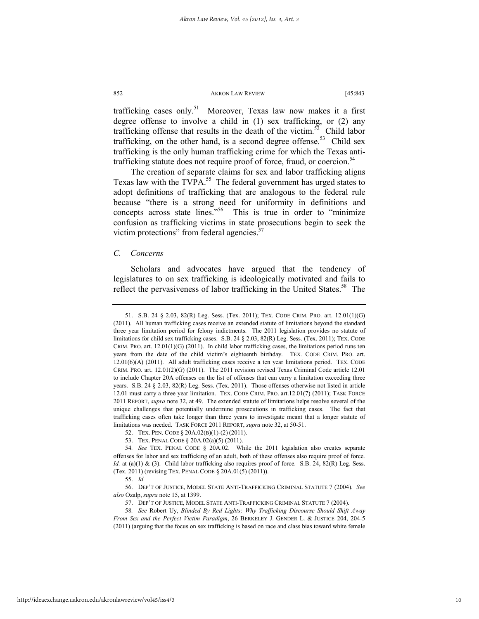trafficking cases only.<sup>51</sup> Moreover, Texas law now makes it a first degree offense to involve a child in (1) sex trafficking, or (2) any trafficking offense that results in the death of the victim.<sup>52</sup> Child labor trafficking, on the other hand, is a second degree offense.<sup>53</sup> Child sex trafficking is the only human trafficking crime for which the Texas antitrafficking statute does not require proof of force, fraud, or coercion.<sup>54</sup>

The creation of separate claims for sex and labor trafficking aligns Texas law with the TVPA. $55$  The federal government has urged states to adopt definitions of trafficking that are analogous to the federal rule because "there is a strong need for uniformity in definitions and concepts across state lines."<sup>56</sup> This is true in order to "minimize" confusion as trafficking victims in state prosecutions begin to seek the victim protections" from federal agencies.<sup>57</sup>

### *C. Concerns*

Scholars and advocates have argued that the tendency of legislatures to on sex trafficking is ideologically motivated and fails to reflect the pervasiveness of labor trafficking in the United States.<sup>58</sup> The

 <sup>51.</sup> S.B. 24 § 2.03, 82(R) Leg. Sess. (Tex. 2011); TEX. CODE CRIM. PRO. art. 12.01(1)(G) (2011). All human trafficking cases receive an extended statute of limitations beyond the standard three year limitation period for felony indictments. The 2011 legislation provides no statute of limitations for child sex trafficking cases. S.B. 24 § 2.03, 82(R) Leg. Sess. (Tex. 2011); TEX. CODE CRIM. PRO. art.  $12.01(1)(G)$  (2011). In child labor trafficking cases, the limitations period runs ten years from the date of the child victim's eighteenth birthday. TEX. CODE CRIM. PRO. art.  $12.01(6)(A)$  (2011). All adult trafficking cases receive a ten year limitations period. TEX. CODE CRIM. PRO. art. 12.01(2)(G) (2011). The 2011 revision revised Texas Criminal Code article 12.01 to include Chapter 20A offenses on the list of offenses that can carry a limitation exceeding three years. S.B. 24 § 2.03, 82(R) Leg. Sess. (Tex. 2011). Those offenses otherwise not listed in article 12.01 must carry a three year limitation. TEX. CODE CRIM. PRO. art.12.01(7) (2011); TASK FORCE 2011 REPORT, *supra* note 32, at 49. The extended statute of limitations helps resolve several of the unique challenges that potentially undermine prosecutions in trafficking cases. The fact that trafficking cases often take longer than three years to investigate meant that a longer statute of limitations was needed. TASK FORCE 2011 REPORT, *supra* note 32, at 50-51.

 <sup>52.</sup> TEX. PEN. CODE § 20A.02(B)(1)-(2) (2011).

 <sup>53.</sup> TEX. PENAL CODE § 20A.02(a)(5) (2011).

<sup>54</sup>*. See* TEX. PENAL CODE § 20A.02. While the 2011 legislation also creates separate offenses for labor and sex trafficking of an adult, both of these offenses also require proof of force. *Id.* at (a)(1) & (3). Child labor trafficking also requires proof of force. S.B. 24, 82(R) Leg. Sess. (Tex. 2011) (revising TEX. PENAL CODE § 20A.01(5) (2011)).

 <sup>55.</sup> *Id.*

 <sup>56.</sup> DEP'T OF JUSTICE, MODEL STATE ANTI-TRAFFICKING CRIMINAL STATUTE 7 (2004). *See also* Ozalp, *supra* note 15, at 1399.

 <sup>57.</sup> DEP'T OF JUSTICE, MODEL STATE ANTI-TRAFFICKING CRIMINAL STATUTE 7 (2004).

<sup>58</sup>*. See* Robert Uy, *Blinded By Red Lights; Why Trafficking Discourse Should Shift Away From Sex and the Perfect Victim Paradigm*, 26 BERKELEY J. GENDER L. & JUSTICE 204, 204-5 (2011) (arguing that the focus on sex trafficking is based on race and class bias toward white female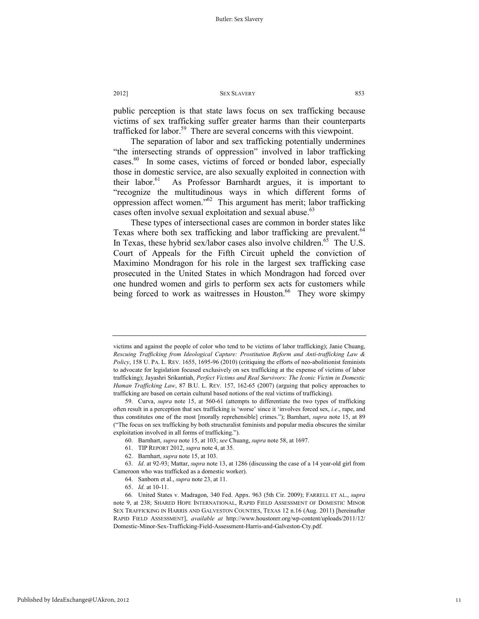public perception is that state laws focus on sex trafficking because victims of sex trafficking suffer greater harms than their counterparts trafficked for labor.<sup>59</sup> There are several concerns with this viewpoint.

The separation of labor and sex trafficking potentially undermines "the intersecting strands of oppression" involved in labor trafficking cases.<sup>60</sup> In some cases, victims of forced or bonded labor, especially those in domestic service, are also sexually exploited in connection with their labor.<sup>61</sup> As Professor Barnhardt argues, it is important to "recognize the multitudinous ways in which different forms of oppression affect women."62 This argument has merit; labor trafficking cases often involve sexual exploitation and sexual abuse.<sup>63</sup>

These types of intersectional cases are common in border states like Texas where both sex trafficking and labor trafficking are prevalent.<sup>64</sup> In Texas, these hybrid sex/labor cases also involve children.<sup>65</sup> The U.S. Court of Appeals for the Fifth Circuit upheld the conviction of Maximino Mondragon for his role in the largest sex trafficking case prosecuted in the United States in which Mondragon had forced over one hundred women and girls to perform sex acts for customers while being forced to work as waitresses in Houston.<sup>66</sup> They wore skimpy

- 61. TIP REPORT 2012, *supra* note 4, at 35.
- 62. Barnhart, *supra* note 15, at 103.

 63. *Id*. at 92-93; Mattar, *supra* note 13, at 1286 (discussing the case of a 14 year-old girl from Cameroon who was trafficked as a domestic worker).

- 64. Sanborn et al., *supra* note 23, at 11.
- 65. *Id.* at 10-11.

victims and against the people of color who tend to be victims of labor trafficking); Janie Chuang, *Rescuing Trafficking from Ideological Capture: Prostitution Reform and Anti-trafficking Law & Policy*, 158 U. PA. L. REV. 1655, 1695-96 (2010) (critiquing the efforts of neo-abolitionist feminists to advocate for legislation focused exclusively on sex trafficking at the expense of victims of labor trafficking); Jayashri Srikantiah, *Perfect Victims and Real Survivors: The Iconic Victim in Domestic Human Trafficking Law*, 87 B.U. L. REV. 157, 162-65 (2007) (arguing that policy approaches to trafficking are based on certain cultural based notions of the real victims of trafficking).

 <sup>59.</sup> Curva, *supra* note 15, at 560-61 (attempts to differentiate the two types of trafficking often result in a perception that sex trafficking is 'worse' since it 'involves forced sex, *i.e*., rape, and thus constitutes one of the most [morally reprehensible] crimes."); Barnhart, *supra* note 15, at 89 ("The focus on sex trafficking by both structuralist feminists and popular media obscures the similar exploitation involved in all forms of trafficking.").

 <sup>60.</sup> Barnhart, *supra* note 15, at 103; *see* Chuang, *supra* note 58, at 1697.

<sup>66</sup>*.* United States v. Madragon, 340 Fed. Appx. 963 (5th Cir. 2009); FARRELL ET AL., *supra* note 9, at 238; SHARED HOPE INTERNATIONAL, RAPID FIELD ASSESSMENT OF DOMESTIC MINOR SEX TRAFFICKING IN HARRIS AND GALVESTON COUNTIES, TEXAS 12 n.16 (Aug. 2011) [hereinafter RAPID FIELD ASSESSMENT], *available at* http://www.houstonrr.org/wp-content/uploads/2011/12/ Domestic-Minor-Sex-Trafficking-Field-Assessment-Harris-and-Galveston-Cty.pdf.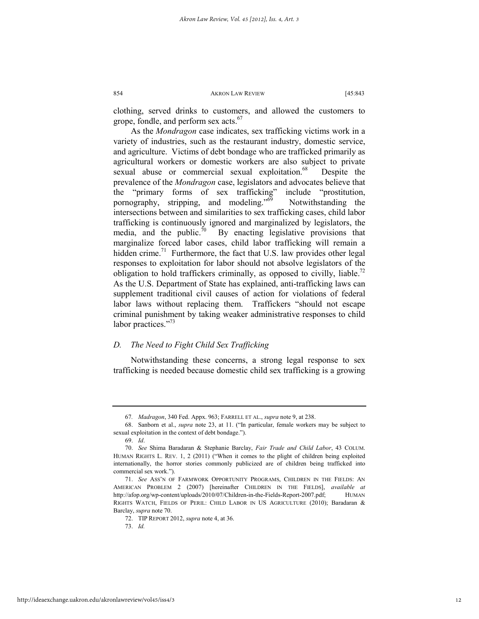clothing, served drinks to customers, and allowed the customers to grope, fondle, and perform sex acts.<sup>67</sup>

As the *Mondragon* case indicates, sex trafficking victims work in a variety of industries, such as the restaurant industry, domestic service, and agriculture. Victims of debt bondage who are trafficked primarily as agricultural workers or domestic workers are also subject to private sexual abuse or commercial sexual exploitation.<sup>68</sup> Despite the prevalence of the *Mondragon* case, legislators and advocates believe that the "primary forms of sex trafficking" include "prostitution, pornography, stripping, and modeling."<sup>69</sup> Notwithstanding the intersections between and similarities to sex trafficking cases, child labor trafficking is continuously ignored and marginalized by legislators, the media, and the public.<sup>70</sup> By enacting legislative provisions that marginalize forced labor cases, child labor trafficking will remain a hidden crime.<sup>71</sup> Furthermore, the fact that U.S. law provides other legal responses to exploitation for labor should not absolve legislators of the obligation to hold traffickers criminally, as opposed to civilly, liable.<sup>72</sup> As the U.S. Department of State has explained, anti-trafficking laws can supplement traditional civil causes of action for violations of federal labor laws without replacing them. Traffickers "should not escape criminal punishment by taking weaker administrative responses to child labor practices."<sup>73</sup>

### *D. The Need to Fight Child Sex Trafficking*

Notwithstanding these concerns, a strong legal response to sex trafficking is needed because domestic child sex trafficking is a growing

<sup>67</sup>*. Madragon*, 340 Fed. Appx. 963; FARRELL ET AL., *supra* note 9, at 238.

 <sup>68.</sup> Sanborn et al., *supra* note 23, at 11. ("In particular, female workers may be subject to sexual exploitation in the context of debt bondage.").

 <sup>69.</sup> *Id*.

 <sup>70.</sup> *See* Shima Baradaran & Stephanie Barclay, *Fair Trade and Child Labor*, 43 COLUM. HUMAN RIGHTS L. REV. 1, 2 (2011) ("When it comes to the plight of children being exploited internationally, the horror stories commonly publicized are of children being trafficked into commercial sex work.").

 <sup>71.</sup> *See* ASS'N OF FARMWORK OPPORTUNITY PROGRAMS, CHILDREN IN THE FIELDS: AN AMERICAN PROBLEM 2 (2007) [hereinafter CHILDREN IN THE FIELDS], *available at* http://afop.org/wp-content/uploads/2010/07/Children-in-the-Fields-Report-2007.pdf; HUMAN RIGHTS WATCH, FIELDS OF PERIL: CHILD LABOR IN US AGRICULTURE (2010); Baradaran & Barclay, *supra* note 70.

 <sup>72.</sup> TIP REPORT 2012, *supra* note 4, at 36.

 <sup>73.</sup> *Id.*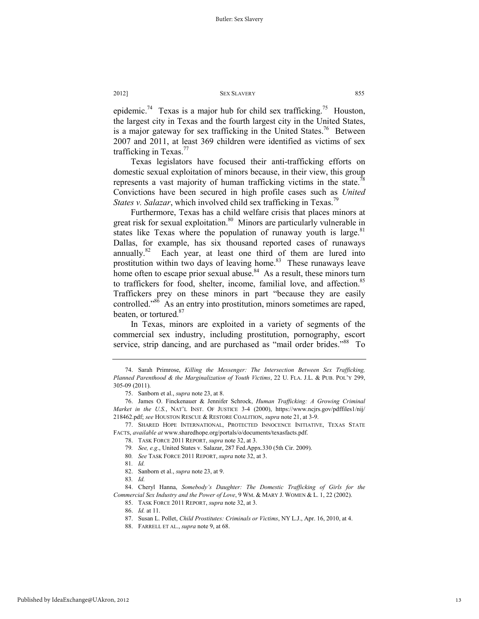epidemic.<sup>74</sup> Texas is a major hub for child sex trafficking.<sup>75</sup> Houston, the largest city in Texas and the fourth largest city in the United States, is a major gateway for sex trafficking in the United States.<sup>76</sup> Between 2007 and 2011, at least 369 children were identified as victims of sex trafficking in Texas. $77$ 

Texas legislators have focused their anti-trafficking efforts on domestic sexual exploitation of minors because, in their view, this group represents a vast majority of human trafficking victims in the state.<sup>78</sup> Convictions have been secured in high profile cases such as *United States v. Salazar*, which involved child sex trafficking in Texas.<sup>79</sup>

Furthermore, Texas has a child welfare crisis that places minors at great risk for sexual exploitation.<sup>80</sup> Minors are particularly vulnerable in states like Texas where the population of runaway youth is large. $81$ Dallas, for example, has six thousand reported cases of runaways annually.<sup>82</sup> Each year, at least one third of them are lured into prostitution within two days of leaving home.<sup>83</sup> These runaways leave home often to escape prior sexual abuse. $84$  As a result, these minors turn to traffickers for food, shelter, income, familial love, and affection.<sup>85</sup> Traffickers prey on these minors in part "because they are easily controlled."86 As an entry into prostitution, minors sometimes are raped, beaten, or tortured.<sup>87</sup>

In Texas, minors are exploited in a variety of segments of the commercial sex industry, including prostitution, pornography, escort service, strip dancing, and are purchased as "mail order brides."<sup>88</sup> To

 <sup>74.</sup> Sarah Primrose, *Killing the Messenger: The Intersection Between Sex Trafficking, Planned Parenthood & the Marginalization of Youth Victims*, 22 U. FLA. J.L. & PUB. POL'Y 299, 305-09 (2011).

 <sup>75.</sup> Sanborn et al., *supra* note 23, at 8.

 <sup>76.</sup> James O. Finckenauer & Jennifer Schrock, *Human Trafficking: A Growing Criminal Market in the U.S.*, NAT'L INST. OF JUSTICE 3-4 (2000), https://www.ncjrs.gov/pdffiles1/nij/ 218462.pdf; *see* HOUSTON RESCUE & RESTORE COALITION, *supra* note 21, at 3-9.

 <sup>77.</sup> SHARED HOPE INTERNATIONAL, PROTECTED INNOCENCE INITIATIVE, TEXAS STATE FACTS, *available at* www.sharedhope.org/portals/o/documents/texasfacts.pdf.

 <sup>78.</sup> TASK FORCE 2011 REPORT, *supra* note 32, at 3.

<sup>79</sup>*. See, e.g*., United States v. Salazar, 287 Fed.Appx.330 (5th Cir. 2009).

<sup>80</sup>*. See* TASK FORCE 2011 REPORT, *supra* note 32, at 3.

<sup>81</sup>*. Id.*

 <sup>82.</sup> Sanborn et al., *supra* note 23, at 9.

<sup>83</sup>*. Id.*

 <sup>84.</sup> Cheryl Hanna, *Somebody's Daughter: The Domestic Trafficking of Girls for the Commercial Sex Industry and the Power of Love*, 9 WM. & MARY J. WOMEN & L. 1, 22 (2002).

 <sup>85.</sup> TASK FORCE 2011 REPORT, *supra* note 32, at 3.

 <sup>86.</sup> *Id.* at 11.

 <sup>87.</sup> Susan L. Pollet, *Child Prostitutes: Criminals or Victims*, NY L.J., Apr. 16, 2010, at 4.

 <sup>88.</sup> FARRELL ET AL., *supra* note 9, at 68.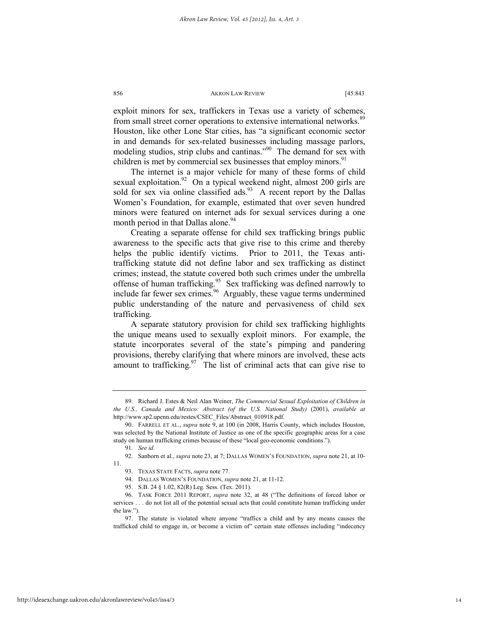exploit minors for sex, traffickers in Texas use a variety of schemes, from small street corner operations to extensive international networks.<sup>89</sup> Houston, like other Lone Star cities, has "a significant economic sector in and demands for sex-related businesses including massage parlors, modeling studios, strip clubs and cantinas."<sup>90</sup> The demand for sex with children is met by commercial sex businesses that employ minors.<sup>91</sup>

The internet is a major vehicle for many of these forms of child sexual exploitation.<sup>92</sup> On a typical weekend night, almost 200 girls are sold for sex via online classified ads.<sup>93</sup> A recent report by the Dallas Women's Foundation, for example, estimated that over seven hundred minors were featured on internet ads for sexual services during a one month period in that Dallas alone.<sup>94</sup>

Creating a separate offense for child sex trafficking brings public awareness to the specific acts that give rise to this crime and thereby helps the public identify victims. Prior to 2011, the Texas antitrafficking statute did not define labor and sex trafficking as distinct crimes; instead, the statute covered both such crimes under the umbrella offense of human trafficking.<sup>95</sup> Sex trafficking was defined narrowly to include far fewer sex crimes.<sup>96</sup> Arguably, these vague terms undermined public understanding of the nature and pervasiveness of child sex trafficking.

A separate statutory provision for child sex trafficking highlights the unique means used to sexually exploit minors. For example, the statute incorporates several of the state's pimping and pandering provisions, thereby clarifying that where minors are involved, these acts amount to trafficking. $\frac{97}{7}$  The list of criminal acts that can give rise to

 <sup>89.</sup> Richard J. Estes & Neil Alan Weiner, *The Commercial Sexual Exploitation of Children in the U.S., Canada and Mexico: Abstract (of the U.S. National Study)* (2001), *available at* http://www.sp2.upenn.edu/restes/CSEC\_Files/Abstract\_010918.pdf.

 <sup>90.</sup> FARRELL ET AL., *supra* note 9, at 100 (in 2008, Harris County, which includes Houston, was selected by the National Institute of Justice as one of the specific geographic areas for a case study on human trafficking crimes because of these "local geo-economic conditions.").

<sup>91</sup>*. See id.*

 <sup>92.</sup> Sanborn et al., *supra* note 23, at 7; DALLAS WOMEN'S FOUNDATION, *supra* note 21, at 10- 11.

 <sup>93.</sup> TEXAS STATE FACTS, *supra* note 77.

 <sup>94.</sup> DALLAS WOMEN'S FOUNDATION, *supra* note 21, at 11-12.

 <sup>95.</sup> S.B. 24 § 1.02, 82(R) Leg. Sess. (Tex. 2011).

 <sup>96.</sup> TASK FORCE 2011 REPORT, *supra* note 32, at 48 ("The definitions of forced labor or services . . . do not list all of the potential sexual acts that could constitute human trafficking under the law.").

 <sup>97.</sup> The statute is violated where anyone "traffics a child and by any means causes the trafficked child to engage in, or become a victim of" certain state offenses including "indecency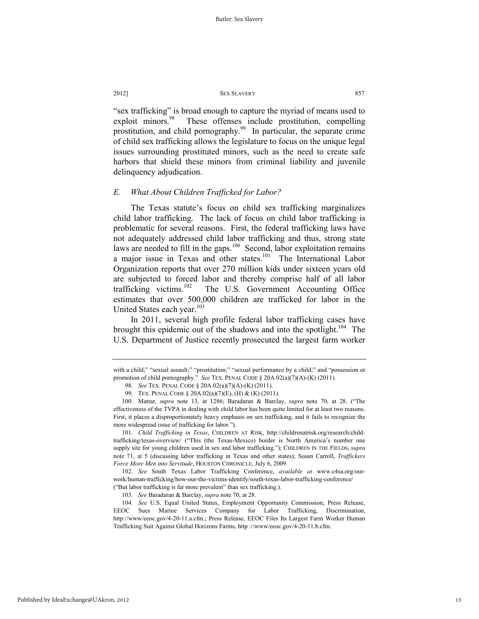"sex trafficking" is broad enough to capture the myriad of means used to exploit minors.<sup>98</sup> These offenses include prostitution, compelling prostitution, and child pornography.<sup>99</sup> In particular, the separate crime of child sex trafficking allows the legislature to focus on the unique legal issues surrounding prostituted minors, such as the need to create safe harbors that shield these minors from criminal liability and juvenile delinquency adjudication.

### *E. What About Children Trafficked for Labor?*

The Texas statute's focus on child sex trafficking marginalizes child labor trafficking. The lack of focus on child labor trafficking is problematic for several reasons. First, the federal trafficking laws have not adequately addressed child labor trafficking and thus, strong state laws are needed to fill in the gaps.<sup>100</sup> Second, labor exploitation remains a major issue in Texas and other states.<sup>101</sup> The International Labor Organization reports that over 270 million kids under sixteen years old are subjected to forced labor and thereby comprise half of all labor trafficking victims.<sup>102</sup> The U.S. Government Accounting Office The U.S. Government Accounting Office estimates that over 500,000 children are trafficked for labor in the United States each year.<sup>103</sup>

In 2011, several high profile federal labor trafficking cases have brought this epidemic out of the shadows and into the spotlight.<sup>104</sup> The U.S. Department of Justice recently prosecuted the largest farm worker

 101. *Child Trafficking in Texas*, CHILDREN AT RISK, http://childrenatrisk.org/research/childtrafficking/texas-overview/ ("This (the Texas-Mexico) border is North America's number one supply site for young children used in sex and labor trafficking."); CHILDREN IN THE FIELDS, *supra*  note 71, at 5 (discussing labor trafficking in Texas and other states); Susan Carroll, *Traffickers Force More Men into Servitude*, HOUSTON CHRONICLE, July 6, 2009.

 102. *See* South Texas Labor Trafficking Conference, *available at* www.c4sa.org/ourwork/human-trafficking/how-our-the-victims-identify/south-texas-labor-trafficking-conference/ ("But labor trafficking is far more prevalent" than sex trafficking.).

with a child;" "sexual assault;" "prostitution;" "sexual performance by a child;" and "possession or promotion of child pornography." *See* TEX. PENAL CODE § 20A.02(a)(7)(A)-(K) (2011).

<sup>98</sup>*. See* TEX. PENAL CODE § 20A.02(a)(7)(A)-(K) (2011).

 <sup>99.</sup> TEX. PENAL CODE § 20A.02(a)(7)(E), (H) & (K) (2011).

 <sup>100.</sup> Mattar, *supra* note 13, at 1286; Baradaran & Barclay, *supra* note 70, at 28. ("The effectiveness of the TVPA in dealing with child labor has been quite limited for at least two reasons. First, it places a disproportionately heavy emphasis on sex trafficking, and it fails to recognize the more widespread issue of trafficking for labor.").

 <sup>103.</sup> *See* Baradaran & Barclay, *supra* note 70, at 28.

<sup>104</sup>*. See* U.S. Equal United States, Employment Opportunity Commission, Press Release, EEOC Sues Marine Services Company for Labor Trafficking, Discrimination, http://www/eeoc.gov/4-20-11.a.cfm.; Press Release, EEOC Files Its Largest Farm Worker Human Trafficking Suit Against Global Horizons Farms, http ://www/eeoc.gov/4-20-11.b.cfm.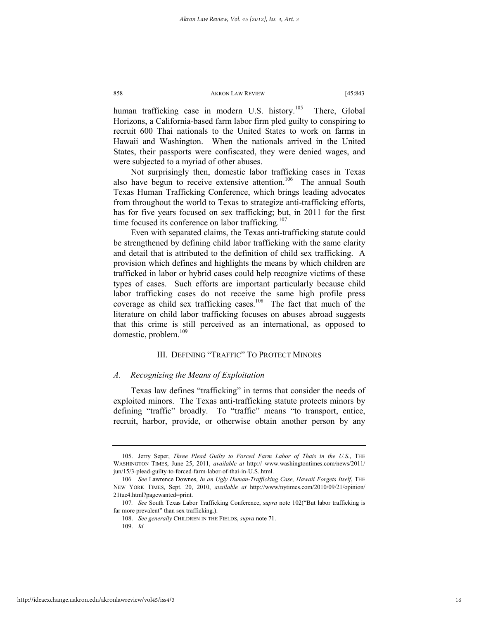human trafficking case in modern U.S. history.<sup>105</sup> There, Global Horizons, a California-based farm labor firm pled guilty to conspiring to recruit 600 Thai nationals to the United States to work on farms in Hawaii and Washington. When the nationals arrived in the United States, their passports were confiscated, they were denied wages, and were subjected to a myriad of other abuses.

Not surprisingly then, domestic labor trafficking cases in Texas also have begun to receive extensive attention.<sup>106</sup> The annual South Texas Human Trafficking Conference, which brings leading advocates from throughout the world to Texas to strategize anti-trafficking efforts, has for five years focused on sex trafficking; but, in 2011 for the first time focused its conference on labor trafficking.<sup>107</sup>

Even with separated claims, the Texas anti-trafficking statute could be strengthened by defining child labor trafficking with the same clarity and detail that is attributed to the definition of child sex trafficking. A provision which defines and highlights the means by which children are trafficked in labor or hybrid cases could help recognize victims of these types of cases. Such efforts are important particularly because child labor trafficking cases do not receive the same high profile press coverage as child sex trafficking cases.<sup>108</sup> The fact that much of the literature on child labor trafficking focuses on abuses abroad suggests that this crime is still perceived as an international, as opposed to domestic, problem.<sup>109</sup>

### III. DEFINING "TRAFFIC" TO PROTECT MINORS

### *A. Recognizing the Means of Exploitation*

Texas law defines "trafficking" in terms that consider the needs of exploited minors. The Texas anti-trafficking statute protects minors by defining "traffic" broadly. To "traffic" means "to transport, entice, recruit, harbor, provide, or otherwise obtain another person by any

 <sup>105.</sup> Jerry Seper, *Three Plead Guilty to Forced Farm Labor of Thais in the U.S*., THE WASHINGTON TIMES, June 25, 2011, *available at* http:// www.washingtontimes.com/news/2011/ jun/15/3-plead-guilty-to-forced-farm-labor-of-thai-in-U.S..html.

<sup>106</sup>*. See* Lawrence Downes, *In an Ugly Human-Trafficking Case, Hawaii Forgets Itself*, THE NEW YORK TIMES, Sept. 20, 2010, *available at* http://www/nytimes.com/2010/09/21/opinion/ 21tue4.html?pagewanted=print.

<sup>107</sup>*. See* South Texas Labor Trafficking Conference, *supra* note 102("But labor trafficking is far more prevalent" than sex trafficking.).

 <sup>108.</sup> *See generally* CHILDREN IN THE FIELDS, *supra* note 71.

 <sup>109.</sup> *Id.*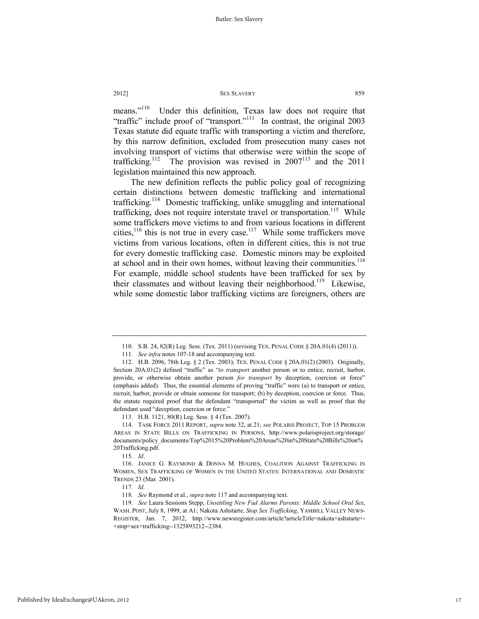means."<sup>110</sup> Under this definition, Texas law does not require that "traffic" include proof of "transport."111 In contrast, the original 2003 Texas statute did equate traffic with transporting a victim and therefore, by this narrow definition, excluded from prosecution many cases not involving transport of victims that otherwise were within the scope of trafficking.<sup>112</sup> The provision was revised in  $2007<sup>113</sup>$  and the 2011 legislation maintained this new approach.

The new definition reflects the public policy goal of recognizing certain distinctions between domestic trafficking and international trafficking.<sup>114</sup> Domestic trafficking, unlike smuggling and international trafficking, does not require interstate travel or transportation.<sup>115</sup> While some traffickers move victims to and from various locations in different cities, $116$  this is not true in every case.<sup>117</sup> While some traffickers move victims from various locations, often in different cities, this is not true for every domestic trafficking case. Domestic minors may be exploited at school and in their own homes, without leaving their communities.<sup>118</sup> For example, middle school students have been trafficked for sex by their classmates and without leaving their neighborhood.<sup>119</sup> Likewise, while some domestic labor trafficking victims are foreigners, others are

115*. Id*.

 <sup>110.</sup> S.B. 24, 82(R) Leg. Sess. (Tex. 2011) (revising TEX. PENAL CODE § 20A.01(4) (2011)).

 <sup>111.</sup> *See infra* notes 107-18 and accompanying text.

 <sup>112.</sup> H.B. 2096, 78th Leg. § 2 (Tex. 2003); TEX. PENAL CODE § 20A.01(2) (2003). Originally, Section 20A.01(2) defined "traffic" as "*to transport* another person or to entice, recruit, harbor, provide, or otherwise obtain another person *for transport* by deception, coercion or force" (emphasis added). Thus, the essential elements of proving "traffic" were (a) to transport or entice, recruit, harbor, provide or obtain someone for transport; (b) by deception, coercion or force. Thus, the statute required proof that the defendant "transported" the victim as well as proof that the defendant used "deception, coercion or force."

 <sup>113.</sup> H.B. 1121, 80(R) Leg. Sess. § 4 (Tex. 2007).

 <sup>114.</sup> TASK FORCE 2011 REPORT, *supra* note 32, at 21; *see* POLARIS PROJECT, TOP 15 PROBLEM AREAS IN STATE BILLS ON TRAFFICKING IN PERSONS, http://www.polarisproject.org/storage/ documents/policy\_documents/Top%2015%20Problem%20Areas%20in%20State%20Bills%20on% 20Trafficking.pdf.

 <sup>116.</sup> JANICE G. RAYMOND & DONNA M. HUGHES, COALITION AGAINST TRAFFICKING IN WOMEN, SEX TRAFFICKING OF WOMEN IN THE UNITED STATES: INTERNATIONAL AND DOMESTIC TRENDS 23 (Mar. 2001).

<sup>117</sup>*. Id.*

<sup>118</sup>*. See* Raymond et al., *supra* note 117 and accompanying text.

 <sup>119.</sup> *See* Laura Sessions Stepp, *Unsettling New Fad Alarms Parents: Middle School Oral Sex*, WASH. POST, July 8, 1999, at A1; Nakota Ashstarte, *Stop Sex Trafficking*, YAMBILL VALLEY NEWS-REGISTER, Jan. 7, 2012, http://www.newsregister.com/article?articleTitle=nakota+ashstarte+-+stop+sex+trafficking--1325893212--2384.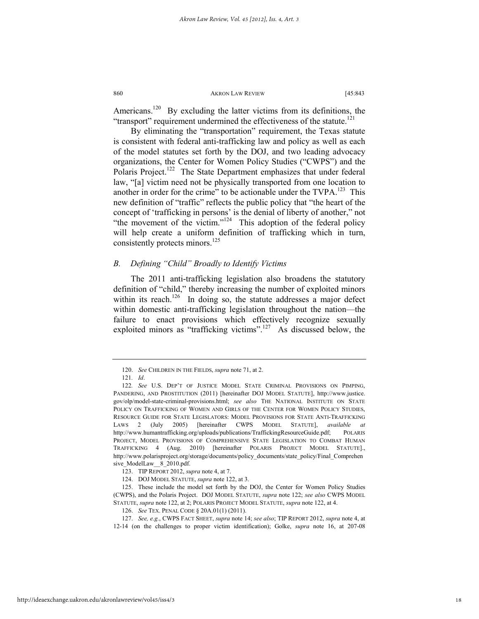Americans.<sup>120</sup> By excluding the latter victims from its definitions, the "transport" requirement undermined the effectiveness of the statute. $^{121}$ 

By eliminating the "transportation" requirement, the Texas statute is consistent with federal anti-trafficking law and policy as well as each of the model statutes set forth by the DOJ, and two leading advocacy organizations, the Center for Women Policy Studies ("CWPS") and the Polaris Project.<sup>122</sup> The State Department emphasizes that under federal law, "[a] victim need not be physically transported from one location to another in order for the crime" to be actionable under the TVPA.<sup>123</sup> This new definition of "traffic" reflects the public policy that "the heart of the concept of 'trafficking in persons' is the denial of liberty of another," not "the movement of the victim."<sup>124</sup> This adoption of the federal policy will help create a uniform definition of trafficking which in turn, consistently protects minors.<sup>125</sup>

### *B. Defining "Child" Broadly to Identify Victims*

The 2011 anti-trafficking legislation also broadens the statutory definition of "child," thereby increasing the number of exploited minors within its reach.<sup>126</sup> In doing so, the statute addresses a major defect within domestic anti-trafficking legislation throughout the nation—the failure to enact provisions which effectively recognize sexually exploited minors as "trafficking victims". $^{127}$  As discussed below, the

 <sup>120.</sup> *See* CHILDREN IN THE FIELDS, *supra* note 71, at 2.

<sup>121</sup>*. Id*.

<sup>122</sup>*. See* U.S. DEP'T OF JUSTICE MODEL STATE CRIMINAL PROVISIONS ON PIMPING, PANDERING, AND PROSTITUTION (2011) [hereinafter DOJ MODEL STATUTE], http://www.justice. gov/olp/model-state-criminal-provisions.html; *see also* THE NATIONAL INSTITUTE ON STATE POLICY ON TRAFFICKING OF WOMEN AND GIRLS OF THE CENTER FOR WOMEN POLICY STUDIES, RESOURCE GUIDE FOR STATE LEGISLATORS: MODEL PROVISIONS FOR STATE ANTI-TRAFFICKING LAWS 2 (July 2005) [hereinafter CWPS MODEL STATUTE], *available at*  http://www.humantrafficking.org/uploads/publications/TraffickingResourceGuide.pdf; POLARIS PROJECT, MODEL PROVISIONS OF COMPREHENSIVE STATE LEGISLATION TO COMBAT HUMAN TRAFFICKING 4 (Aug. 2010) [hereinafter POLARIS PROJECT MODEL STATUTE]., http://www.polarisproject.org/storage/documents/policy\_documents/state\_policy/Final\_Comprehen sive\_ModelLaw\_\_8\_2010.pdf.

 <sup>123.</sup> TIP REPORT 2012, *supra* note 4, at 7.

 <sup>124.</sup> DOJ MODEL STATUTE, *supra* note 122, at 3.

 <sup>125.</sup> These include the model set forth by the DOJ, the Center for Women Policy Studies (CWPS), and the Polaris Project. DOJ MODEL STATUTE, *supra* note 122; *see also* CWPS MODEL STATUTE, *supra* note 122, at 2; POLARIS PROJECT MODEL STATUTE, *supra* note 122, at 4.

 <sup>126.</sup> *See* TEX. PENAL CODE § 20A.01(1) (2011).

 <sup>127.</sup> *See, e.g.*, CWPS FACT SHEET, *supra* note 14; *see also*; TIP REPORT 2012, *supra* note 4, at 12-14 (on the challenges to proper victim identification); Golke, *supra* note 16, at 207-08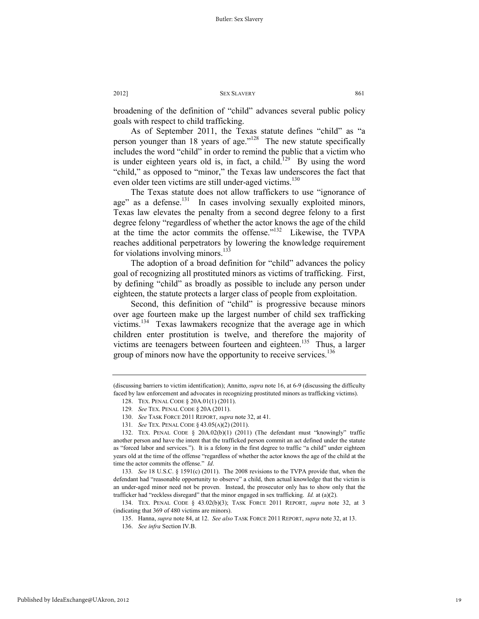broadening of the definition of "child" advances several public policy goals with respect to child trafficking.

As of September 2011, the Texas statute defines "child" as "a person younger than 18 years of age."<sup>128</sup> The new statute specifically includes the word "child" in order to remind the public that a victim who is under eighteen years old is, in fact, a child.<sup>129</sup> By using the word "child," as opposed to "minor," the Texas law underscores the fact that even older teen victims are still under-aged victims.<sup>130</sup>

The Texas statute does not allow traffickers to use "ignorance of age" as a defense.<sup>131</sup> In cases involving sexually exploited minors, Texas law elevates the penalty from a second degree felony to a first degree felony "regardless of whether the actor knows the age of the child at the time the actor commits the offense."132 Likewise, the TVPA reaches additional perpetrators by lowering the knowledge requirement for violations involving minors.<sup>133</sup>

The adoption of a broad definition for "child" advances the policy goal of recognizing all prostituted minors as victims of trafficking. First, by defining "child" as broadly as possible to include any person under eighteen, the statute protects a larger class of people from exploitation.

Second, this definition of "child" is progressive because minors over age fourteen make up the largest number of child sex trafficking victims.134 Texas lawmakers recognize that the average age in which children enter prostitution is twelve, and therefore the majority of victims are teenagers between fourteen and eighteen.<sup>135</sup> Thus, a larger group of minors now have the opportunity to receive services.<sup>136</sup>

<sup>(</sup>discussing barriers to victim identification); Annitto, *supra* note 16, at 6-9 (discussing the difficulty faced by law enforcement and advocates in recognizing prostituted minors as trafficking victims).

 <sup>128.</sup> TEX. PENAL CODE § 20A.01(1) (2011).

<sup>129</sup>*. See* TEX. PENAL CODE § 20A (2011).

 <sup>130.</sup> *See* TASK FORCE 2011 REPORT, *supra* note 32, at 41.

<sup>131</sup>*. See* TEX. PENAL CODE § 43.05(A)(2) (2011).

 <sup>132.</sup> TEX. PENAL CODE § 20A.02(b)(1) (2011) (The defendant must "knowingly" traffic another person and have the intent that the trafficked person commit an act defined under the statute as "forced labor and services."). It is a felony in the first degree to traffic "a child" under eighteen years old at the time of the offense "regardless of whether the actor knows the age of the child at the time the actor commits the offense." *Id*.

<sup>133</sup>*. See* 18 U.S.C. § 1591(c) (2011). The 2008 revisions to the TVPA provide that, when the defendant had "reasonable opportunity to observe" a child, then actual knowledge that the victim is an under-aged minor need not be proven. Instead, the prosecutor only has to show only that the trafficker had "reckless disregard" that the minor engaged in sex trafficking. *Id.* at (a)(2).

 <sup>134.</sup> TEX. PENAL CODE § 43.02(b)(3); TASK FORCE 2011 REPORT, *supra* note 32, at 3 (indicating that 369 of 480 victims are minors).

 <sup>135.</sup> Hanna, *supra* note 84, at 12. *See also* TASK FORCE 2011 REPORT, *supra* note 32, at 13.

 <sup>136.</sup> *See infra* Section IV.B.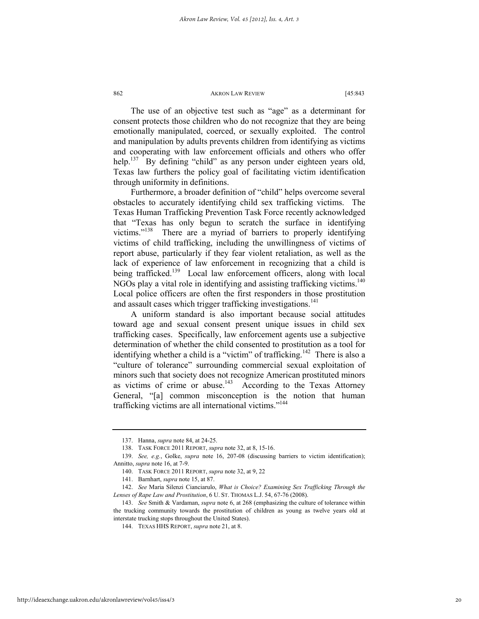The use of an objective test such as "age" as a determinant for consent protects those children who do not recognize that they are being emotionally manipulated, coerced, or sexually exploited. The control and manipulation by adults prevents children from identifying as victims and cooperating with law enforcement officials and others who offer help.<sup>137</sup> By defining "child" as any person under eighteen years old, Texas law furthers the policy goal of facilitating victim identification through uniformity in definitions.

Furthermore, a broader definition of "child" helps overcome several obstacles to accurately identifying child sex trafficking victims. The Texas Human Trafficking Prevention Task Force recently acknowledged that "Texas has only begun to scratch the surface in identifying victims."138 There are a myriad of barriers to properly identifying victims of child trafficking, including the unwillingness of victims of report abuse, particularly if they fear violent retaliation, as well as the lack of experience of law enforcement in recognizing that a child is being trafficked.<sup>139</sup> Local law enforcement officers, along with local NGOs play a vital role in identifying and assisting trafficking victims.<sup>140</sup> Local police officers are often the first responders in those prostitution and assault cases which trigger trafficking investigations.<sup>141</sup>

A uniform standard is also important because social attitudes toward age and sexual consent present unique issues in child sex trafficking cases. Specifically, law enforcement agents use a subjective determination of whether the child consented to prostitution as a tool for identifying whether a child is a "victim" of trafficking.<sup>142</sup> There is also a "culture of tolerance" surrounding commercial sexual exploitation of minors such that society does not recognize American prostituted minors as victims of crime or abuse.<sup>143</sup> According to the Texas Attorney General, "[a] common misconception is the notion that human trafficking victims are all international victims."144

 <sup>137.</sup> Hanna, *supra* note 84, at 24-25.

 <sup>138.</sup> TASK FORCE 2011 REPORT, *supra* note 32, at 8, 15-16.

 <sup>139.</sup> *See, e.g.*, Golke, *supra* note 16, 207-08 (discussing barriers to victim identification); Annitto, *supra* note 16, at 7-9.

 <sup>140.</sup> TASK FORCE 2011 REPORT, *supra* note 32, at 9, 22

 <sup>141.</sup> Barnhart, *supra* note 15, at 87.

 <sup>142.</sup> *See* Maria Silenzi Cianciarulo, *What is Choice? Examining Sex Trafficking Through the Lenses of Rape Law and Prostitution*, 6 U. ST. THOMAS L.J. 54, 67-76 (2008).

 <sup>143.</sup> *See* Smith & Vardaman, *supra* note 6, at 268 (emphasizing the culture of tolerance within the trucking community towards the prostitution of children as young as twelve years old at interstate trucking stops throughout the United States).

 <sup>144.</sup> TEXAS HHS REPORT, *supra* note 21, at 8.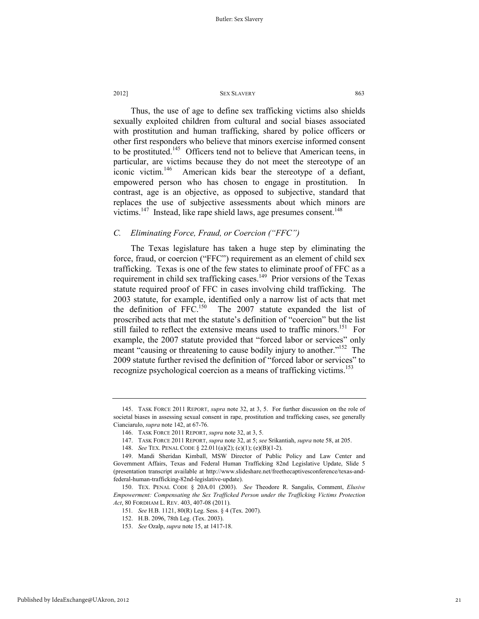Thus, the use of age to define sex trafficking victims also shields sexually exploited children from cultural and social biases associated with prostitution and human trafficking, shared by police officers or other first responders who believe that minors exercise informed consent to be prostituted.<sup>145</sup> Officers tend not to believe that American teens, in particular, are victims because they do not meet the stereotype of an iconic victim.<sup>146</sup> American kids bear the stereotype of a defiant, empowered person who has chosen to engage in prostitution. In contrast, age is an objective, as opposed to subjective, standard that replaces the use of subjective assessments about which minors are victims.<sup>147</sup> Instead, like rape shield laws, age presumes consent.<sup>148</sup>

### *C. Eliminating Force, Fraud, or Coercion ("FFC")*

The Texas legislature has taken a huge step by eliminating the force, fraud, or coercion ("FFC") requirement as an element of child sex trafficking. Texas is one of the few states to eliminate proof of FFC as a requirement in child sex trafficking cases.<sup>149</sup> Prior versions of the Texas statute required proof of FFC in cases involving child trafficking. The 2003 statute, for example, identified only a narrow list of acts that met the definition of  $FFC<sup>150</sup>$  The 2007 statute expanded the list of proscribed acts that met the statute's definition of "coercion" but the list still failed to reflect the extensive means used to traffic minors.<sup>151</sup> For example, the 2007 statute provided that "forced labor or services" only meant "causing or threatening to cause bodily injury to another."<sup>152</sup> The 2009 statute further revised the definition of "forced labor or services" to recognize psychological coercion as a means of trafficking victims.<sup>153</sup>

 <sup>145.</sup> TASK FORCE 2011 REPORT, *supra* note 32, at 3, 5. For further discussion on the role of societal biases in assessing sexual consent in rape, prostitution and trafficking cases, see generally Cianciarulo, *supra* note 142, at 67-76.

 <sup>146.</sup> TASK FORCE 2011 REPORT, *supra* note 32, at 3, 5.

 <sup>147.</sup> TASK FORCE 2011 REPORT, *supra* note 32, at 5; *see* Srikantiah, *supra* note 58, at 205.

 <sup>148.</sup> *See* TEX. PENAL CODE § 22.011(a)(2); (c)(1); (e)(B)(1-2).

 <sup>149.</sup> Mandi Sheridan Kimball, MSW Director of Public Policy and Law Center and Government Affairs, Texas and Federal Human Trafficking 82nd Legislative Update, Slide 5 (presentation transcript available at http://www.slideshare.net/freethecaptivesconference/texas-andfederal-human-trafficking-82nd-legislative-update).

 <sup>150.</sup> TEX. PENAL CODE § 20A.01 (2003). *See* Theodore R. Sangalis, Comment, *Elusive Empowerment: Compensating the Sex Trafficked Person under the Trafficking Victims Protection Act*, 80 FORDHAM L. REV. 403, 407-08 (2011).

<sup>151</sup>*. See* H.B. 1121, 80(R) Leg. Sess. § 4 (Tex. 2007).

 <sup>152.</sup> H.B. 2096, 78th Leg. (Tex. 2003).

 <sup>153.</sup> *See* Ozalp, *supra* note 15, at 1417-18.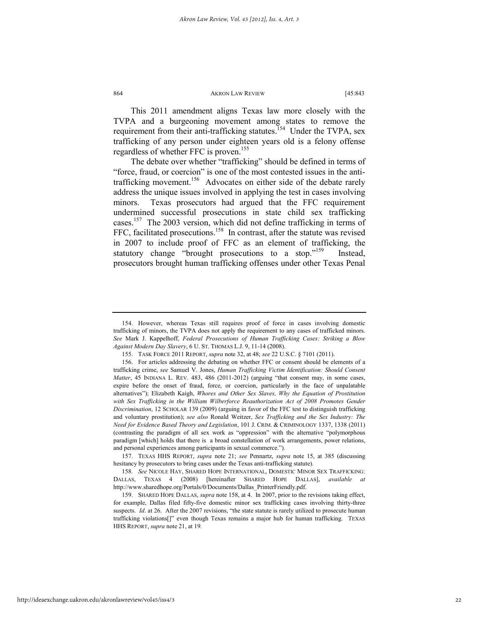This 2011 amendment aligns Texas law more closely with the TVPA and a burgeoning movement among states to remove the requirement from their anti-trafficking statutes.<sup>154</sup> Under the TVPA, sex trafficking of any person under eighteen years old is a felony offense regardless of whether FFC is proven.<sup>155</sup>

The debate over whether "trafficking" should be defined in terms of "force, fraud, or coercion" is one of the most contested issues in the antitrafficking movement.<sup>156</sup> Advocates on either side of the debate rarely address the unique issues involved in applying the test in cases involving minors. Texas prosecutors had argued that the FFC requirement undermined successful prosecutions in state child sex trafficking cases.157 The 2003 version, which did not define trafficking in terms of FFC, facilitated prosecutions.<sup>158</sup> In contrast, after the statute was revised in 2007 to include proof of FFC as an element of trafficking, the statutory change "brought prosecutions to a stop."<sup>159</sup> Instead, prosecutors brought human trafficking offenses under other Texas Penal

 <sup>154.</sup> However, whereas Texas still requires proof of force in cases involving domestic trafficking of minors, the TVPA does not apply the requirement to any cases of trafficked minors. *See* Mark J. Kappelhoff, *Federal Prosecutions of Human Trafficking Cases: Striking a Blow Against Modern Day Slavery*, 6 U. ST. THOMAS L.J. 9, 11-14 (2008).

 <sup>155.</sup> TASK FORCE 2011 REPORT, *supra* note 32, at 48; *see* 22 U.S.C. § 7101 (2011).

 <sup>156.</sup> For articles addressing the debating on whether FFC or consent should be elements of a trafficking crime, *see* Samuel V. Jones, *Human Trafficking Victim Identification: Should Consent Matter*, 45 INDIANA L. REV. 483, 486 (2011-2012) (arguing "that consent may, in some cases, expire before the onset of fraud, force, or coercion, particularly in the face of unpalatable alternatives"); Elizabeth Kaigh, *Whores and Other Sex Slaves, Why the Equation of Prostitution*  with Sex Trafficking in the William Wilberforce Reauthorization Act of 2008 Promotes Gender *Discrimination*, 12 SCHOLAR 139 (2009) (arguing in favor of the FFC test to distinguish trafficking and voluntary prostitution); *see also* Ronald Weitzer, *Sex Trafficking and the Sex Industry: The Need for Evidence Based Theory and Legislation*, 101 J. CRIM. & CRIMINOLOGY 1337, 1338 (2011) (contrasting the paradigm of all sex work as "oppression" with the alternative "polymorphous paradigm [which] holds that there is a broad constellation of work arrangements, power relations, and personal experiences among participants in sexual commerce.").

 <sup>157.</sup> TEXAS HHS REPORT, *supra* note 21; *see* Pennartz, *supra* note 15, at 385 (discussing hesitancy by prosecutors to bring cases under the Texas anti-trafficking statute).

<sup>158</sup>*. See* NICOLE HAY, SHARED HOPE INTERNATIONAL, DOMESTIC MINOR SEX TRAFFICKING: DALLAS, TEXAS 4 (2008) [hereinafter SHARED HOPE DALLAS], *available at*  http://www.sharedhope.org/Portals/0/Documents/Dallas\_PrinterFriendly.pdf.

 <sup>159.</sup> SHARED HOPE DALLAS, *supra* note 158, at 4. In 2007, prior to the revisions taking effect, for example, Dallas filed fifty-five domestic minor sex trafficking cases involving thirty-three suspects. *Id.* at 26. After the 2007 revisions, "the state statute is rarely utilized to prosecute human trafficking violations[]" even though Texas remains a major hub for human trafficking. TEXAS HHS REPORT, *supra* note 21, at 19.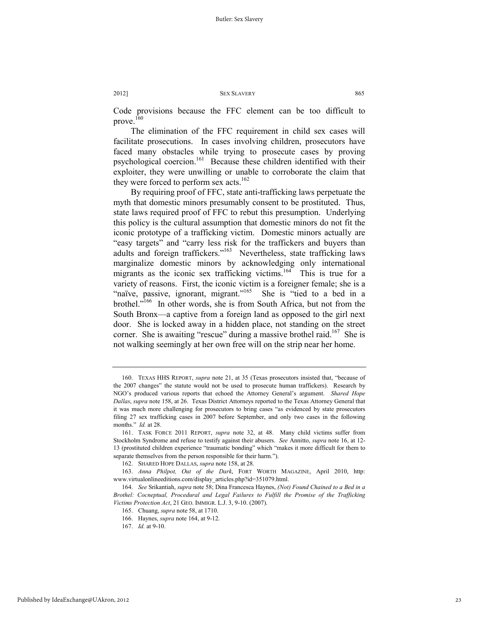Code provisions because the FFC element can be too difficult to prove. $^{160}$ 

The elimination of the FFC requirement in child sex cases will facilitate prosecutions. In cases involving children, prosecutors have faced many obstacles while trying to prosecute cases by proving psychological coercion.161 Because these children identified with their exploiter, they were unwilling or unable to corroborate the claim that they were forced to perform sex acts.<sup>162</sup>

By requiring proof of FFC, state anti-trafficking laws perpetuate the myth that domestic minors presumably consent to be prostituted. Thus, state laws required proof of FFC to rebut this presumption. Underlying this policy is the cultural assumption that domestic minors do not fit the iconic prototype of a trafficking victim. Domestic minors actually are "easy targets" and "carry less risk for the traffickers and buyers than adults and foreign traffickers."163 Nevertheless, state trafficking laws marginalize domestic minors by acknowledging only international migrants as the iconic sex trafficking victims.<sup>164</sup> This is true for a variety of reasons. First, the iconic victim is a foreigner female; she is a "naïve, passive, ignorant, migrant."<sup>165</sup> She is "tied to a bed in a brothel."<sup>166</sup> In other words, she is from South Africa, but not from the South Bronx—a captive from a foreign land as opposed to the girl next door. She is locked away in a hidden place, not standing on the street corner. She is awaiting "rescue" during a massive brothel raid.<sup>167</sup> She is not walking seemingly at her own free will on the strip near her home.

 <sup>160.</sup> TEXAS HHS REPORT, *supra* note 21, at 35 (Texas prosecutors insisted that, "because of the 2007 changes" the statute would not be used to prosecute human traffickers). Research by NGO's produced various reports that echoed the Attorney General's argument. *Shared Hope Dallas*, *supra* note 158, at 26. Texas District Attorneys reported to the Texas Attorney General that it was much more challenging for prosecutors to bring cases "as evidenced by state prosecutors filing 27 sex trafficking cases in 2007 before September, and only two cases in the following months." *Id.* at 28.

 <sup>161.</sup> TASK FORCE 2011 REPORT, *supra* note 32, at 48. Many child victims suffer from Stockholm Syndrome and refuse to testify against their abusers. *See* Annitto, *supra* note 16, at 12- 13 (prostituted children experience "traumatic bonding" which "makes it more difficult for them to separate themselves from the person responsible for their harm.").

 <sup>162.</sup> SHARED HOPE DALLAS, *supra* note 158, at 28.

 <sup>163.</sup> *Anna Philpot, Out of the Dark*, FORT WORTH MAGAZINE, April 2010, http: www.virtualonlineeditions.com/display\_articles.php?id=351079.html.

 <sup>164.</sup> *See* Srikantiah, *supra* note 58; Dina Francesca Haynes, *(Not) Found Chained to a Bed in a Brothel: Cocneptual, Procedural and Legal Failures to Fulfill the Promise of the Trafficking Victims Protection Act*, 21 GEO. IMMIGR. L.J. 3, 9-10. (2007).

 <sup>165.</sup> Chuang, *supra* note 58, at 1710.

 <sup>166.</sup> Haynes, *supra* note 164, at 9-12.

 <sup>167.</sup> *Id.* at 9-10.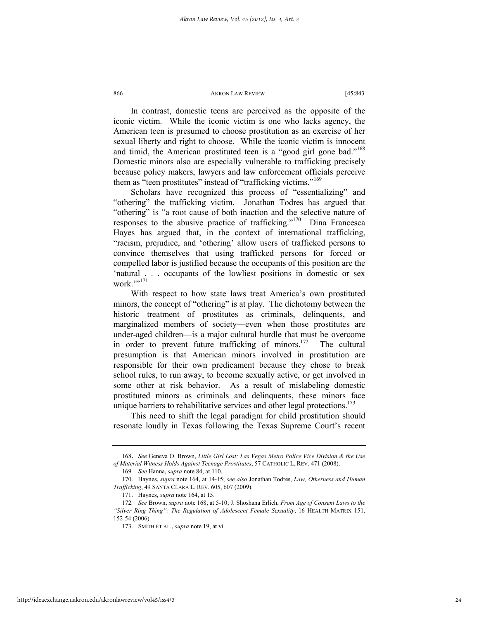In contrast, domestic teens are perceived as the opposite of the iconic victim. While the iconic victim is one who lacks agency, the American teen is presumed to choose prostitution as an exercise of her sexual liberty and right to choose. While the iconic victim is innocent and timid, the American prostituted teen is a "good girl gone bad."<sup>168</sup> Domestic minors also are especially vulnerable to trafficking precisely because policy makers, lawyers and law enforcement officials perceive them as "teen prostitutes" instead of "trafficking victims."<sup>169</sup>

Scholars have recognized this process of "essentializing" and "othering" the trafficking victim. Jonathan Todres has argued that "othering" is "a root cause of both inaction and the selective nature of responses to the abusive practice of trafficking."170 Dina Francesca Hayes has argued that, in the context of international trafficking, "racism, prejudice, and 'othering' allow users of trafficked persons to convince themselves that using trafficked persons for forced or compelled labor is justified because the occupants of this position are the 'natural . . . occupants of the lowliest positions in domestic or sex work.""171

With respect to how state laws treat America's own prostituted minors, the concept of "othering" is at play. The dichotomy between the historic treatment of prostitutes as criminals, delinquents, and marginalized members of society—even when those prostitutes are under-aged children—is a major cultural hurdle that must be overcome in order to prevent future trafficking of minors.<sup>172</sup> The cultural presumption is that American minors involved in prostitution are responsible for their own predicament because they chose to break school rules, to run away, to become sexually active, or get involved in some other at risk behavior. As a result of mislabeling domestic prostituted minors as criminals and delinquents, these minors face unique barriers to rehabilitative services and other legal protections.<sup>173</sup>

This need to shift the legal paradigm for child prostitution should resonate loudly in Texas following the Texas Supreme Court's recent

<sup>168</sup>**.** *See* Geneva O. Brown, *Little Girl Lost: Las Vegas Metro Police Vice Division & the Use of Material Witness Holds Against Teenage Prostitutes*, 57 CATHOLIC L. REV. 471 (2008).

<sup>169</sup>*. See* Hanna, *supra* note 84, at 110.

 <sup>170.</sup> Haynes, *supra* note 164, at 14-15; *see also* Jonathan Todres, *Law, Otherness and Human Trafficking*, 49 SANTA CLARA L. REV. 605, 607 (2009).

 <sup>171.</sup> Haynes, *supra* note 164, at 15.

<sup>172</sup>*. See* Brown, *supra* note 168, at 5-10; J. Shoshana Erlich, *From Age of Consent Laws to the "Silver Ring Thing": The Regulation of Adolescent Female Sexuality*, 16 HEALTH MATRIX 151, 152-54 (2006).

 <sup>173.</sup> SMITH ET AL., *supra* note 19, at vi.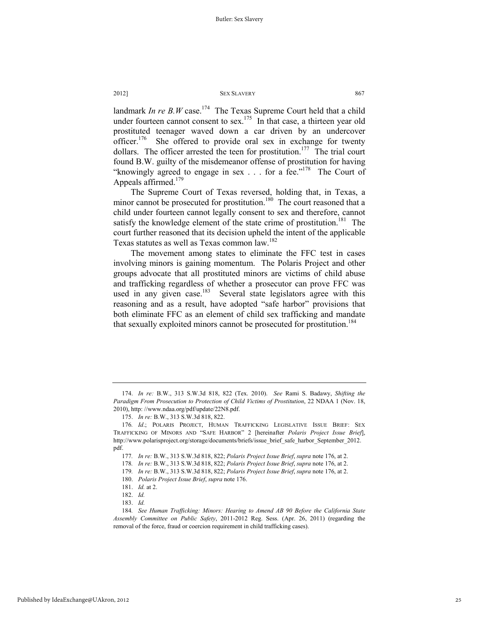landmark *In re B.W* case.<sup>174</sup> The Texas Supreme Court held that a child under fourteen cannot consent to sex.<sup>175</sup> In that case, a thirteen year old prostituted teenager waved down a car driven by an undercover officer.<sup>176</sup> She offered to provide oral sex in exchange for twenty dollars. The officer arrested the teen for prostitution.<sup>177</sup> The trial court found B.W. guilty of the misdemeanor offense of prostitution for having "knowingly agreed to engage in sex . . . for a fee."<sup>178</sup> The Court of Appeals affirmed. $179$ 

The Supreme Court of Texas reversed, holding that, in Texas, a minor cannot be prosecuted for prostitution.<sup>180</sup> The court reasoned that a child under fourteen cannot legally consent to sex and therefore, cannot satisfy the knowledge element of the state crime of prostitution.<sup>181</sup> The court further reasoned that its decision upheld the intent of the applicable Texas statutes as well as Texas common law.<sup>182</sup>

The movement among states to eliminate the FFC test in cases involving minors is gaining momentum. The Polaris Project and other groups advocate that all prostituted minors are victims of child abuse and trafficking regardless of whether a prosecutor can prove FFC was used in any given case.<sup>183</sup> Several state legislators agree with this reasoning and as a result, have adopted "safe harbor" provisions that both eliminate FFC as an element of child sex trafficking and mandate that sexually exploited minors cannot be prosecuted for prostitution.<sup>184</sup>

 <sup>174.</sup> *In re:* B.W., 313 S.W.3d 818, 822 (Tex. 2010). *See* Rami S. Badawy, *Shifting the Paradigm From Prosecution to Protection of Child Victims of Prostitution*, 22 NDAA 1 (Nov. 18, 2010), http: //www.ndaa.org/pdf/update/22N8.pdf.

 <sup>175.</sup> *In re:* B.W., 313 S.W.3d 818, 822.

<sup>176</sup>*. Id*.; POLARIS PROJECT, HUMAN TRAFFICKING LEGISLATIVE ISSUE BRIEF: SEX TRAFFICKING OF MINORS AND "SAFE HARBOR" 2 [hereinafter *Polaris Project Issue Brief*], http://www.polarisproject.org/storage/documents/briefs/issue\_brief\_safe\_harbor\_September\_2012. pdf.

<sup>177</sup>*. In re:* B.W., 313 S.W.3d 818, 822; *Polaris Project Issue Brief*, *supra* note 176, at 2.

<sup>178</sup>*. In re:* B.W., 313 S.W.3d 818, 822; *Polaris Project Issue Brief*, *supra* note 176, at 2.

<sup>179</sup>*. In re:* B.W., 313 S.W.3d 818, 822; *Polaris Project Issue Brief*, *supra* note 176, at 2.

 <sup>180.</sup> *Polaris Project Issue Brief*, *supra* note 176.

 <sup>181.</sup> *Id.* at 2.

 <sup>182.</sup> *Id.*

 <sup>183.</sup> *Id.*

<sup>184</sup>*. See Human Trafficking: Minors: Hearing to Amend AB 90 Before the California State Assembly Committee on Public Safety*, 2011-2012 Reg. Sess. (Apr. 26, 2011) (regarding the removal of the force, fraud or coercion requirement in child trafficking cases).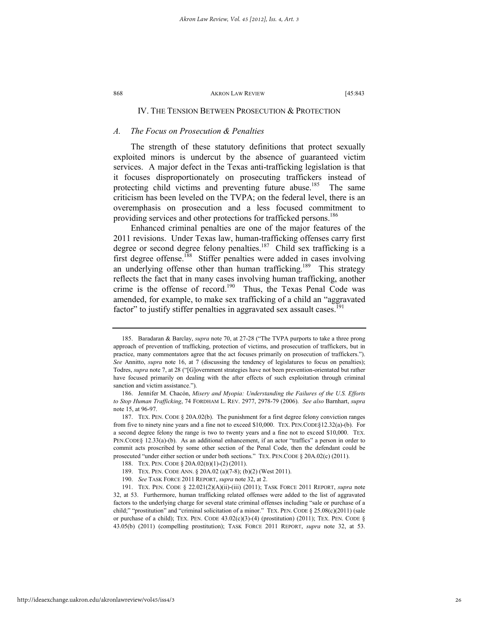### IV. THE TENSION BETWEEN PROSECUTION & PROTECTION

### *A. The Focus on Prosecution & Penalties*

The strength of these statutory definitions that protect sexually exploited minors is undercut by the absence of guaranteed victim services. A major defect in the Texas anti-trafficking legislation is that it focuses disproportionately on prosecuting traffickers instead of protecting child victims and preventing future abuse.<sup>185</sup> The same criticism has been leveled on the TVPA; on the federal level, there is an overemphasis on prosecution and a less focused commitment to providing services and other protections for trafficked persons.<sup>186</sup>

Enhanced criminal penalties are one of the major features of the 2011 revisions. Under Texas law, human-trafficking offenses carry first degree or second degree felony penalties.<sup>187</sup> Child sex trafficking is a first degree offense.188 Stiffer penalties were added in cases involving an underlying offense other than human trafficking.<sup>189</sup> This strategy reflects the fact that in many cases involving human trafficking, another crime is the offense of record.<sup>190</sup> Thus, the Texas Penal Code was amended, for example, to make sex trafficking of a child an "aggravated factor" to justify stiffer penalties in aggravated sex assault cases.<sup>191</sup>

 <sup>185.</sup> Baradaran & Barclay, *supra* note 70, at 27-28 ("The TVPA purports to take a three prong approach of prevention of trafficking, protection of victims, and prosecution of traffickers, but in practice, many commentators agree that the act focuses primarily on prosecution of traffickers."). *See* Annitto, *supra* note 16, at 7 (discussing the tendency of legislatures to focus on penalties); Todres, *supra* note 7, at 28 ("[G]overnment strategies have not been prevention-orientated but rather have focused primarily on dealing with the after effects of such exploitation through criminal sanction and victim assistance.").

 <sup>186.</sup> Jennifer M. Chacón, *Misery and Myopia: Understanding the Failures of the U.S. Efforts to Stop Human Trafficking*, 74 FORDHAM L. REV. 2977, 2978-79 (2006). *See also* Barnhart, *supra* note 15, at 96-97.

 <sup>187.</sup> TEX. PEN. CODE § 20A.02(b). The punishment for a first degree felony conviction ranges from five to ninety nine years and a fine not to exceed \$10,000. TEX. PEN.CODE§12.32(a)-(b). For a second degree felony the range is two to twenty years and a fine not to exceed \$10,000. TEX. PEN.CODE§ 12.33(a)-(b). As an additional enhancement, if an actor "traffics" a person in order to commit acts proscribed by some other section of the Penal Code, then the defendant could be prosecuted "under either section or under both sections." TEX. PEN.CODE § 20A.02(c) (2011).

 <sup>188.</sup> TEX. PEN. CODE § 20A.02(B)(1)-(2) (2011).

 <sup>189.</sup> TEX. PEN. CODE ANN. § 20A.02 (a)(7-8); (b)(2) (West 2011).

 <sup>190.</sup> *See* TASK FORCE 2011 REPORT, *supra* note 32, at 2.

 <sup>191.</sup> TEX. PEN. CODE § 22.021(2)(A)(ii)-(iii) (2011); TASK FORCE 2011 REPORT, *supra* note 32, at 53. Furthermore, human trafficking related offenses were added to the list of aggravated factors to the underlying charge for several state criminal offenses including "sale or purchase of a child;" "prostitution" and "criminal solicitation of a minor." TEX. PEN. CODE § 25.08(c)(2011) (sale or purchase of a child); TEX. PEN. CODE  $43.02(c)(3)-(4)$  (prostitution) (2011); TEX. PEN. CODE § 43.05(b) (2011) (compelling prostitution); TASK FORCE 2011 REPORT, *supra* note 32, at 53.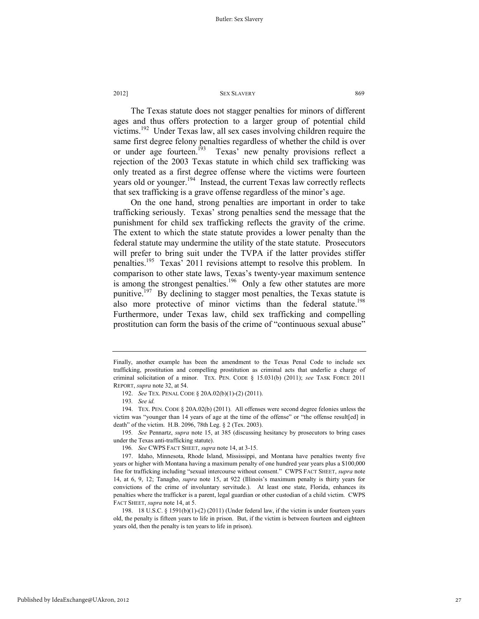The Texas statute does not stagger penalties for minors of different ages and thus offers protection to a larger group of potential child victims.192 Under Texas law, all sex cases involving children require the same first degree felony penalties regardless of whether the child is over or under age fourteen.<sup>193</sup> Texas' new penalty provisions reflect a rejection of the 2003 Texas statute in which child sex trafficking was only treated as a first degree offense where the victims were fourteen years old or younger.<sup>194</sup> Instead, the current Texas law correctly reflects that sex trafficking is a grave offense regardless of the minor's age.

On the one hand, strong penalties are important in order to take trafficking seriously. Texas' strong penalties send the message that the punishment for child sex trafficking reflects the gravity of the crime. The extent to which the state statute provides a lower penalty than the federal statute may undermine the utility of the state statute. Prosecutors will prefer to bring suit under the TVPA if the latter provides stiffer penalties.<sup>195</sup> Texas' 2011 revisions attempt to resolve this problem. In comparison to other state laws, Texas's twenty-year maximum sentence is among the strongest penalties.<sup>196</sup> Only a few other statutes are more punitive.<sup>197</sup> By declining to stagger most penalties, the Texas statute is also more protective of minor victims than the federal statute.<sup>198</sup> Furthermore, under Texas law, child sex trafficking and compelling prostitution can form the basis of the crime of "continuous sexual abuse"

195*. See* Pennartz, *supra* note 15, at 385 (discussing hesitancy by prosecutors to bring cases under the Texas anti-trafficking statute).

196*. See* CWPS FACT SHEET, *supra* note 14, at 3-15.

Finally, another example has been the amendment to the Texas Penal Code to include sex trafficking, prostitution and compelling prostitution as criminal acts that underlie a charge of criminal solicitation of a minor. TEX. PEN. CODE § 15.031(b) (2011); *see* TASK FORCE 2011 REPORT, *supra* note 32, at 54.

 <sup>192.</sup> *See* TEX. PENAL CODE § 20A.02(b)(1)-(2) (2011).

<sup>193</sup>*. See id.* 

 <sup>194.</sup> TEX. PEN. CODE § 20A.02(b) (2011). All offenses were second degree felonies unless the victim was "younger than 14 years of age at the time of the offense" or "the offense result[ed] in death" of the victim. H.B. 2096, 78th Leg. § 2 (Tex. 2003).

 <sup>197.</sup> Idaho, Minnesota, Rhode Island, Mississippi, and Montana have penalties twenty five years or higher with Montana having a maximum penalty of one hundred year years plus a \$100,000 fine for trafficking including "sexual intercourse without consent." CWPS FACT SHEET, *supra* note 14, at 6, 9, 12; Tanagho, *supra* note 15, at 922 (Illinois's maximum penalty is thirty years for convictions of the crime of involuntary servitude.). At least one state, Florida, enhances its penalties where the trafficker is a parent, legal guardian or other custodian of a child victim. CWPS FACT SHEET, *supra* note 14, at 5.

 <sup>198. 18</sup> U.S.C. § 1591(b)(1)-(2) (2011) (Under federal law, if the victim is under fourteen years old, the penalty is fifteen years to life in prison. But, if the victim is between fourteen and eighteen years old, then the penalty is ten years to life in prison).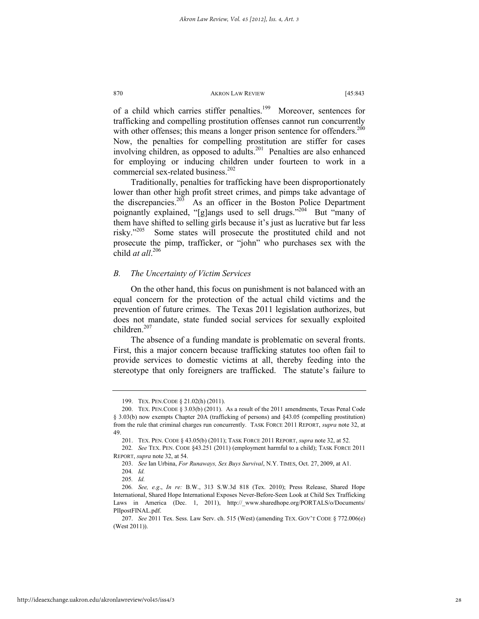of a child which carries stiffer penalties.<sup>199</sup> Moreover, sentences for trafficking and compelling prostitution offenses cannot run concurrently with other offenses; this means a longer prison sentence for offenders.<sup>200</sup> Now, the penalties for compelling prostitution are stiffer for cases involving children, as opposed to adults.<sup>201</sup> Penalties are also enhanced for employing or inducing children under fourteen to work in a commercial sex-related business.<sup>202</sup>

Traditionally, penalties for trafficking have been disproportionately lower than other high profit street crimes, and pimps take advantage of the discrepancies.<sup>203</sup> As an officer in the Boston Police Department poignantly explained, "[g]angs used to sell drugs."<sup>204</sup> But "many of them have shifted to selling girls because it's just as lucrative but far less risky."205 Some states will prosecute the prostituted child and not prosecute the pimp, trafficker, or "john" who purchases sex with the child *at all*. 206

### *B. The Uncertainty of Victim Services*

On the other hand, this focus on punishment is not balanced with an equal concern for the protection of the actual child victims and the prevention of future crimes. The Texas 2011 legislation authorizes, but does not mandate, state funded social services for sexually exploited children. $207$ 

The absence of a funding mandate is problematic on several fronts. First, this a major concern because trafficking statutes too often fail to provide services to domestic victims at all, thereby feeding into the stereotype that only foreigners are trafficked. The statute's failure to

 <sup>199.</sup> TEX. PEN.CODE § 21.02(h) (2011).

 <sup>200.</sup> TEX. PEN.CODE § 3.03(b) (2011). As a result of the 2011 amendments, Texas Penal Code § 3.03(b) now exempts Chapter 20A (trafficking of persons) and §43.05 (compelling prostitution) from the rule that criminal charges run concurrently. TASK FORCE 2011 REPORT, *supra* note 32, at 49.

 <sup>201.</sup> TEX. PEN. CODE § 43.05(b) (2011); TASK FORCE 2011 REPORT, *supra* note 32, at 52.

<sup>202</sup>*. See* TEX. PEN. CODE §43.251 (2011) (employment harmful to a child); TASK FORCE 2011 REPORT, *supra* note 32, at 54.

 <sup>203.</sup> *See* Ian Urbina, *For Runaways, Sex Buys Survival*, N.Y. TIMES, Oct. 27, 2009, at A1.

<sup>204</sup>*. Id.*

<sup>205</sup>*. Id.*

<sup>206</sup>*. See, e.g*., *In re:* B.W., 313 S.W.3d 818 (Tex. 2010); Press Release, Shared Hope International, Shared Hope International Exposes Never-Before-Seen Look at Child Sex Trafficking Laws in America (Dec. 1, 2011), http://\_www.sharedhope.org/PORTALS/o/Documents/ PIIpostFINAL.pdf.

 <sup>207.</sup> *See* 2011 Tex. Sess. Law Serv. ch. 515 (West) (amending TEX. GOV'T CODE § 772.006(e) (West 2011)).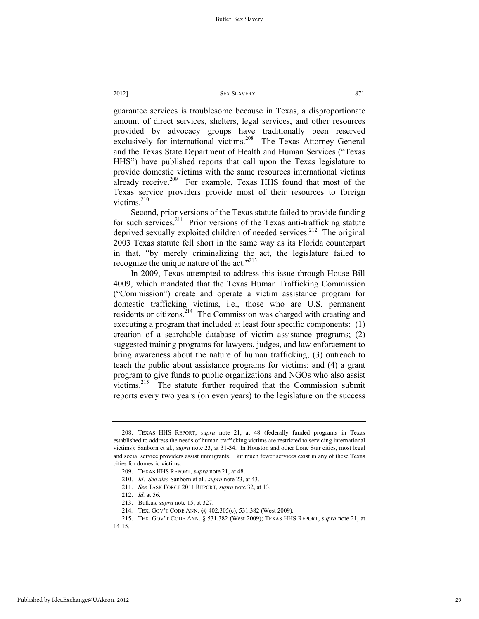guarantee services is troublesome because in Texas, a disproportionate amount of direct services, shelters, legal services, and other resources provided by advocacy groups have traditionally been reserved exclusively for international victims.<sup>208</sup> The Texas Attorney General and the Texas State Department of Health and Human Services ("Texas HHS") have published reports that call upon the Texas legislature to provide domestic victims with the same resources international victims already receive.<sup>209</sup> For example, Texas HHS found that most of the Texas service providers provide most of their resources to foreign victims. $210$ 

Second, prior versions of the Texas statute failed to provide funding for such services.<sup>211</sup> Prior versions of the Texas anti-trafficking statute deprived sexually exploited children of needed services.<sup>212</sup> The original 2003 Texas statute fell short in the same way as its Florida counterpart in that, "by merely criminalizing the act, the legislature failed to recognize the unique nature of the act."<sup>213</sup>

In 2009, Texas attempted to address this issue through House Bill 4009, which mandated that the Texas Human Trafficking Commission ("Commission") create and operate a victim assistance program for domestic trafficking victims, i.e., those who are U.S. permanent residents or citizens.214 The Commission was charged with creating and executing a program that included at least four specific components: (1) creation of a searchable database of victim assistance programs; (2) suggested training programs for lawyers, judges, and law enforcement to bring awareness about the nature of human trafficking; (3) outreach to teach the public about assistance programs for victims; and (4) a grant program to give funds to public organizations and NGOs who also assist victims.215 The statute further required that the Commission submit reports every two years (on even years) to the legislature on the success

 <sup>208.</sup> TEXAS HHS REPORT, *supra* note 21, at 48 (federally funded programs in Texas established to address the needs of human trafficking victims are restricted to servicing international victims); Sanborn et al., *supra* note 23, at 31-34. In Houston and other Lone Star cities, most legal and social service providers assist immigrants. But much fewer services exist in any of these Texas cities for domestic victims.

 <sup>209.</sup> TEXAS HHS REPORT, *supra* note 21, at 48.

 <sup>210.</sup> *Id*. *See also* Sanborn et al., *supra* note 23, at 43.

 <sup>211.</sup> *See* TASK FORCE 2011 REPORT, *supra* note 32, at 13.

 <sup>212.</sup> *Id.* at 56.

 <sup>213.</sup> Butkus, *supra* note 15, at 327.

<sup>214</sup>*.* TEX. GOV'T CODE ANN. §§ 402.305(c), 531.382 (West 2009).

 <sup>215.</sup> TEX. GOV'T CODE ANN. § 531.382 (West 2009); TEXAS HHS REPORT, *supra* note 21, at 14-15.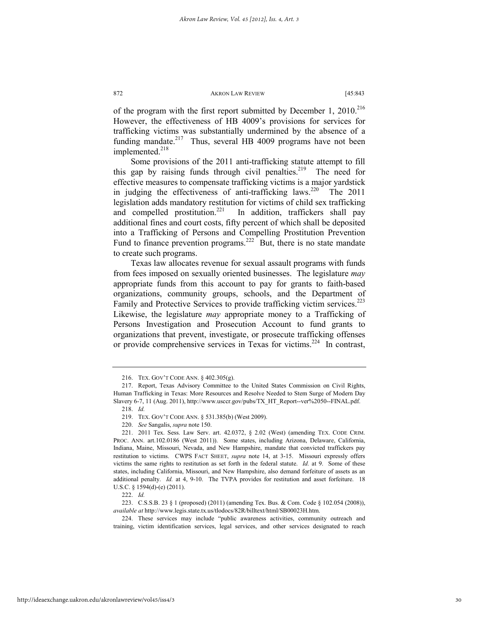of the program with the first report submitted by December 1, 2010.<sup>216</sup> However, the effectiveness of HB 4009's provisions for services for trafficking victims was substantially undermined by the absence of a funding mandate.<sup>217</sup> Thus, several HB 4009 programs have not been implemented.<sup>218</sup>

Some provisions of the 2011 anti-trafficking statute attempt to fill this gap by raising funds through civil penalties.<sup>219</sup> The need for effective measures to compensate trafficking victims is a major yardstick in judging the effectiveness of anti-trafficking laws.<sup>220</sup> The 2011 legislation adds mandatory restitution for victims of child sex trafficking and compelled prostitution.<sup>221</sup> In addition, traffickers shall pay additional fines and court costs, fifty percent of which shall be deposited into a Trafficking of Persons and Compelling Prostitution Prevention Fund to finance prevention programs.<sup>222</sup> But, there is no state mandate to create such programs.

Texas law allocates revenue for sexual assault programs with funds from fees imposed on sexually oriented businesses. The legislature *may* appropriate funds from this account to pay for grants to faith-based organizations, community groups, schools, and the Department of Family and Protective Services to provide trafficking victim services.<sup>223</sup> Likewise, the legislature *may* appropriate money to a Trafficking of Persons Investigation and Prosecution Account to fund grants to organizations that prevent, investigate, or prosecute trafficking offenses or provide comprehensive services in Texas for victims.<sup>224</sup> In contrast,

 <sup>216.</sup> TEX. GOV'T CODE ANN. § 402.305(g).

 <sup>217.</sup> Report, Texas Advisory Committee to the United States Commission on Civil Rights, Human Trafficking in Texas: More Resources and Resolve Needed to Stem Surge of Modern Day Slavery 6-7, 11 (Aug. 2011), http://www.usccr.gov/pubs/TX\_HT\_Report--ver%2050--FINAL.pdf.

 <sup>218.</sup> *Id.*

 <sup>219.</sup> TEX. GOV'T CODE ANN. § 531.385(b) (West 2009).

 <sup>220.</sup> *See* Sangalis, *supra* note 150.

 <sup>221. 2011</sup> Tex. Sess. Law Serv. art. 42.0372, § 2.02 (West) (amending TEX. CODE CRIM. PROC. ANN. art.102.0186 (West 2011)). Some states, including Arizona, Delaware, California, Indiana, Maine, Missouri, Nevada, and New Hampshire, mandate that convicted traffickers pay restitution to victims. CWPS FACT SHEET, *supra* note 14, at 3-15. Missouri expressly offers victims the same rights to restitution as set forth in the federal statute. *Id.* at 9. Some of these states, including California, Missouri, and New Hampshire, also demand forfeiture of assets as an additional penalty. *Id.* at 4, 9-10. The TVPA provides for restitution and asset forfeiture. 18 U.S.C. § 1594(d)-(e) (2011).

 <sup>222.</sup> *Id.*

 <sup>223.</sup> C.S.S.B. 23 § 1 (proposed) (2011) (amending Tex. Bus. & Com. Code § 102.054 (2008)), *available at* http://www.legis.state.tx.us/tlodocs/82R/billtext/html/SB00023H.htm.

 <sup>224.</sup> These services may include "public awareness activities, community outreach and training, victim identification services, legal services, and other services designated to reach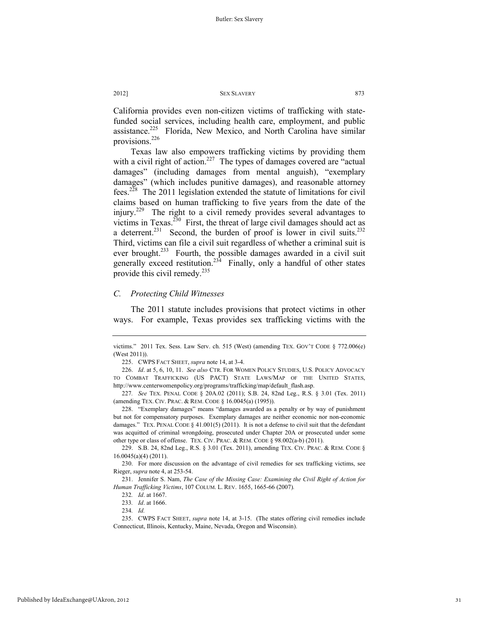California provides even non-citizen victims of trafficking with statefunded social services, including health care, employment, and public assistance.<sup>225</sup> Florida, New Mexico, and North Carolina have similar provisions.<sup>226</sup>

Texas law also empowers trafficking victims by providing them with a civil right of action.<sup>227</sup> The types of damages covered are "actual" damages" (including damages from mental anguish), "exemplary damages" (which includes punitive damages), and reasonable attorney fees.228 The 2011 legislation extended the statute of limitations for civil claims based on human trafficking to five years from the date of the injury.229 The right to a civil remedy provides several advantages to victims in Texas.<sup>230</sup> First, the threat of large civil damages should act as a deterrent.<sup>231</sup> Second, the burden of proof is lower in civil suits.<sup>232</sup> Third, victims can file a civil suit regardless of whether a criminal suit is ever brought.<sup>233</sup> Fourth, the possible damages awarded in a civil suit generally exceed restitution.<sup>234</sup> Finally, only a handful of other states provide this civil remedy. $^{235}$ 

### *C. Protecting Child Witnesses*

The 2011 statute includes provisions that protect victims in other ways. For example, Texas provides sex trafficking victims with the

 228. "Exemplary damages" means "damages awarded as a penalty or by way of punishment but not for compensatory purposes. Exemplary damages are neither economic nor non-economic damages." TEX. PENAL CODE § 41.001(5) (2011). It is not a defense to civil suit that the defendant was acquitted of criminal wrongdoing, prosecuted under Chapter 20A or prosecuted under some other type or class of offense. TEX. CIV. PRAC. & REM. CODE § 98.002(a-b) (2011).

 229. S.B. 24, 82nd Leg., R.S. § 3.01 (Tex. 2011), amending TEX. CIV. PRAC. & REM. CODE § 16.0045(a)(4) (2011).

 230. For more discussion on the advantage of civil remedies for sex trafficking victims, see Rieger, *supra* note 4, at 253-54.

 231. Jennifer S. Nam, *The Case of the Missing Case: Examining the Civil Right of Action for Human Trafficking Victims*, 107 COLUM. L. REV. 1655, 1665-66 (2007)*.*

victims." 2011 Tex. Sess. Law Serv. ch. 515 (West) (amending TEX. GOV'T CODE § 772.006(e) (West 2011)).

 <sup>225.</sup> CWPS FACT SHEET, *supra* note 14, at 3-4.

 <sup>226.</sup> *Id*. at 5, 6, 10, 11. *See also* CTR. FOR WOMEN POLICY STUDIES, U.S. POLICY ADVOCACY TO COMBAT TRAFFICKING (US PACT) STATE LAWS/MAP OF THE UNITED STATES, http://www.centerwomenpolicy.org/programs/trafficking/map/default\_flash.asp.

<sup>227</sup>*. See* TEX. PENAL CODE § 20A.02 (2011); S.B. 24, 82nd Leg., R.S. § 3.01 (Tex. 2011) (amending TEX. CIV. PRAC. & REM. CODE § 16.0045(a) (1995)).

<sup>232</sup>*. Id*. at 1667.

<sup>233</sup>*. Id*. at 1666.

<sup>234</sup>*. Id.*

 <sup>235.</sup> CWPS FACT SHEET, *supra* note 14, at 3-15. (The states offering civil remedies include Connecticut, Illinois, Kentucky, Maine, Nevada, Oregon and Wisconsin).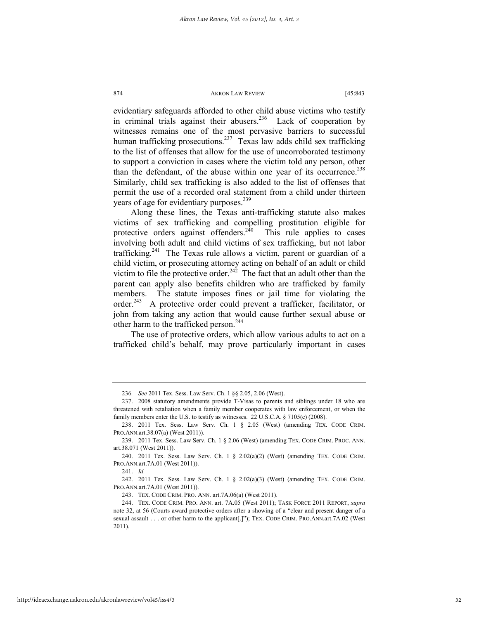evidentiary safeguards afforded to other child abuse victims who testify in criminal trials against their abusers.<sup>236</sup> Lack of cooperation by witnesses remains one of the most pervasive barriers to successful human trafficking prosecutions.<sup>237</sup> Texas law adds child sex trafficking to the list of offenses that allow for the use of uncorroborated testimony to support a conviction in cases where the victim told any person, other than the defendant, of the abuse within one year of its occurrence.<sup>238</sup> Similarly, child sex trafficking is also added to the list of offenses that permit the use of a recorded oral statement from a child under thirteen years of age for evidentiary purposes.<sup>239</sup>

Along these lines, the Texas anti-trafficking statute also makes victims of sex trafficking and compelling prostitution eligible for protective orders against offenders.<sup>240</sup> This rule applies to cases involving both adult and child victims of sex trafficking, but not labor trafficking.<sup>241</sup> The Texas rule allows a victim, parent or guardian of a child victim, or prosecuting attorney acting on behalf of an adult or child victim to file the protective order.<sup>242</sup> The fact that an adult other than the parent can apply also benefits children who are trafficked by family members. The statute imposes fines or jail time for violating the order.<sup>243</sup> A protective order could prevent a trafficker, facilitator, or john from taking any action that would cause further sexual abuse or other harm to the trafficked person.<sup>244</sup>

The use of protective orders, which allow various adults to act on a trafficked child's behalf, may prove particularly important in cases

<sup>236</sup>*. See* 2011 Tex. Sess. Law Serv. Ch. 1 §§ 2.05, 2.06 (West).

 <sup>237. 2008</sup> statutory amendments provide T-Visas to parents and siblings under 18 who are threatened with retaliation when a family member cooperates with law enforcement, or when the family members enter the U.S. to testify as witnesses. 22 U.S.C.A. § 7105(e) (2008).

 <sup>238. 2011</sup> Tex. Sess. Law Serv. Ch. 1 § 2.05 (West) (amending TEX. CODE CRIM. PRO.ANN.art.38.07(a) (West 2011)).

 <sup>239. 2011</sup> Tex. Sess. Law Serv. Ch. 1 § 2.06 (West) (amending TEX. CODE CRIM. PROC. ANN. art.38.071 (West 2011)).

 <sup>240. 2011</sup> Tex. Sess. Law Serv. Ch. 1 § 2.02(a)(2) (West) (amending TEX. CODE CRIM. PRO.ANN.art.7A.01 (West 2011)).

 <sup>241.</sup> *Id.*

 <sup>242. 2011</sup> Tex. Sess. Law Serv. Ch. 1 § 2.02(a)(3) (West) (amending TEX. CODE CRIM. PRO.ANN.art.7A.01 (West 2011)).

 <sup>243.</sup> TEX. CODE CRIM. PRO. ANN. art.7A.06(a) (West 2011).

 <sup>244.</sup> TEX. CODE CRIM. PRO. ANN. art. 7A.05 (West 2011); TASK FORCE 2011 REPORT, *supra* note 32, at 56 (Courts award protective orders after a showing of a "clear and present danger of a sexual assault . . . or other harm to the applicant[.]"); TEX. CODE CRIM. PRO.ANN.art.7A.02 (West 2011).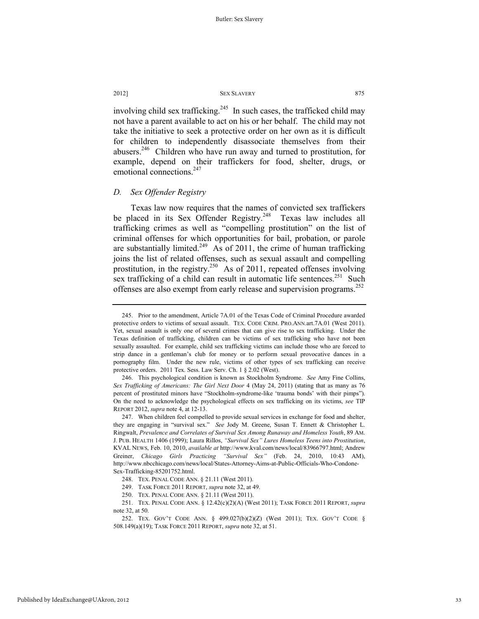involving child sex trafficking.<sup>245</sup> In such cases, the trafficked child may not have a parent available to act on his or her behalf. The child may not take the initiative to seek a protective order on her own as it is difficult for children to independently disassociate themselves from their abusers.<sup>246</sup> Children who have run away and turned to prostitution, for example, depend on their traffickers for food, shelter, drugs, or emotional connections.<sup>247</sup>

### *D. Sex Offender Registry*

Texas law now requires that the names of convicted sex traffickers be placed in its Sex Offender Registry.<sup>248</sup> Texas law includes all trafficking crimes as well as "compelling prostitution" on the list of criminal offenses for which opportunities for bail, probation, or parole are substantially limited.<sup>249</sup> As of 2011, the crime of human trafficking joins the list of related offenses, such as sexual assault and compelling prostitution, in the registry.<sup>250</sup> As of 2011, repeated offenses involving sex trafficking of a child can result in automatic life sentences.<sup>251</sup> Such offenses are also exempt from early release and supervision programs.<sup>252</sup>

 <sup>245.</sup> Prior to the amendment, Article 7A.01 of the Texas Code of Criminal Procedure awarded protective orders to victims of sexual assault. TEX. CODE CRIM. PRO.ANN.art.7A.01 (West 2011). Yet, sexual assault is only one of several crimes that can give rise to sex trafficking. Under the Texas definition of trafficking, children can be victims of sex trafficking who have not been sexually assaulted. For example, child sex trafficking victims can include those who are forced to strip dance in a gentleman's club for money or to perform sexual provocative dances in a pornography film. Under the new rule, victims of other types of sex trafficking can receive protective orders. 2011 Tex. Sess. Law Serv. Ch. 1 § 2.02 (West).

 <sup>246.</sup> This psychological condition is known as Stockholm Syndrome. *See* Amy Fine Collins, *Sex Trafficking of Americans: The Girl Next Door* 4 (May 24, 2011) (stating that as many as 76 percent of prostituted minors have "Stockholm-syndrome-like 'trauma bonds' with their pimps"). On the need to acknowledge the psychological effects on sex trafficking on its victims, *see* TIP REPORT 2012, *supra* note 4, at 12-13.

 <sup>247.</sup> When children feel compelled to provide sexual services in exchange for food and shelter, they are engaging in "survival sex." *See* Jody M. Greene, Susan T. Ennett & Christopher L. Ringwalt, *Prevalence and Correlates of Survival Sex Among Runaway and Homeless Youth*, 89 AM. J. PUB. HEALTH 1406 (1999); Laura Rillos, *"Survival Sex" Lures Homeless Teens into Prostitution*, KVAL NEWS, Feb. 10, 2010, *available at* http://www.kval.com/news/local/83966797.html; Andrew Greiner, *Chicago Girls Practicing "Survival Sex"* (Feb. 24, 2010, 10:43 AM), http://www.nbcchicago.com/news/local/States-Attorney-Aims-at-Public-Officials-Who-Condone-Sex-Trafficking-85201752.html.

 <sup>248.</sup> TEX. PENAL CODE ANN. § 21.11 (West 2011).

 <sup>249.</sup> TASK FORCE 2011 REPORT, *supra* note 32, at 49.

 <sup>250.</sup> TEX. PENAL CODE ANN. § 21.11 (West 2011).

 <sup>251.</sup> TEX. PENAL CODE ANN. § 12.42(c)(2)(A) (West 2011); TASK FORCE 2011 REPORT, *supra* note 32, at 50.

 <sup>252.</sup> TEX. GOV'T CODE ANN. § 499.027(b)(2)(Z) (West 2011); TEX. GOV'T CODE § 508.149(a)(19); TASK FORCE 2011 REPORT, *supra* note 32, at 51.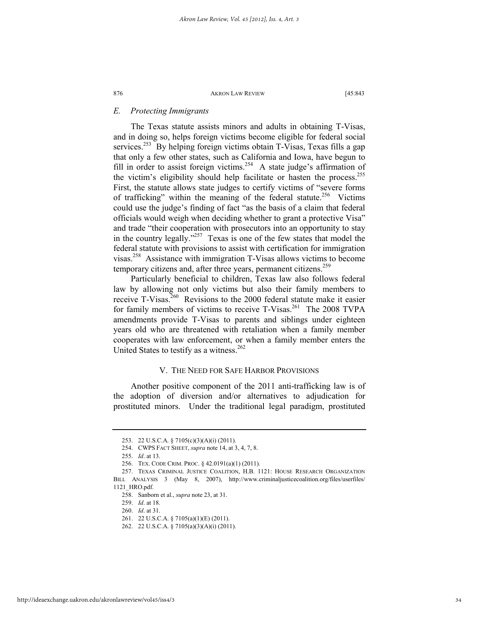### *E. Protecting Immigrants*

The Texas statute assists minors and adults in obtaining T-Visas, and in doing so, helps foreign victims become eligible for federal social services.<sup>253</sup> By helping foreign victims obtain T-Visas, Texas fills a gap that only a few other states, such as California and Iowa, have begun to fill in order to assist foreign victims.<sup>254</sup> A state judge's affirmation of the victim's eligibility should help facilitate or hasten the process.<sup>255</sup> First, the statute allows state judges to certify victims of "severe forms of trafficking" within the meaning of the federal statute.<sup>256</sup> Victims could use the judge's finding of fact "as the basis of a claim that federal officials would weigh when deciding whether to grant a protective Visa" and trade "their cooperation with prosecutors into an opportunity to stay in the country legally."257 Texas is one of the few states that model the federal statute with provisions to assist with certification for immigration visas.258 Assistance with immigration T-Visas allows victims to become temporary citizens and, after three years, permanent citizens.<sup>259</sup>

Particularly beneficial to children, Texas law also follows federal law by allowing not only victims but also their family members to receive T-Visas.<sup>260</sup> Revisions to the 2000 federal statute make it easier for family members of victims to receive T-Visas.<sup>261</sup> The 2008 TVPA amendments provide T-Visas to parents and siblings under eighteen years old who are threatened with retaliation when a family member cooperates with law enforcement, or when a family member enters the United States to testify as a witness.<sup>262</sup>

### V. THE NEED FOR SAFE HARBOR PROVISIONS

Another positive component of the 2011 anti-trafficking law is of the adoption of diversion and/or alternatives to adjudication for prostituted minors. Under the traditional legal paradigm, prostituted

 <sup>253. 22</sup> U.S.C.A. § 7105(c)(3)(A)(i) (2011).

 <sup>254.</sup> CWPS FACT SHEET, *supra* note 14, at 3, 4, 7, 8.

 <sup>255.</sup> *Id*. at 13.

 <sup>256.</sup> TEX. CODE CRIM. PROC. § 42.0191(a)(1) (2011).

 <sup>257.</sup> TEXAS CRIMINAL JUSTICE COALITION, H.B. 1121: HOUSE RESEARCH ORGANIZATION BILL ANALYSIS 3 (May 8, 2007), http://www.criminaljusticecoalition.org/files/userfiles/ 1121\_HRO.pdf.

 <sup>258.</sup> Sanborn et al., *supra* note 23, at 31.

 <sup>259.</sup> *Id*. at 18.

 <sup>260.</sup> *Id*. at 31.

 <sup>261. 22</sup> U.S.C.A. § 7105(a)(1)(E) (2011).

 <sup>262. 22</sup> U.S.C.A. § 7105(a)(3)(A)(i) (2011).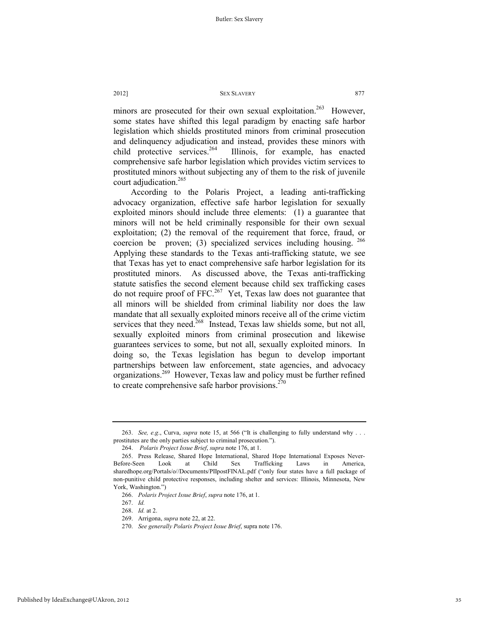minors are prosecuted for their own sexual exploitation.<sup>263</sup> However, some states have shifted this legal paradigm by enacting safe harbor legislation which shields prostituted minors from criminal prosecution and delinquency adjudication and instead, provides these minors with child protective services. <sup>264</sup> Illinois, for example, has enacted comprehensive safe harbor legislation which provides victim services to prostituted minors without subjecting any of them to the risk of juvenile court adjudication.<sup>265</sup>

According to the Polaris Project, a leading anti-trafficking advocacy organization, effective safe harbor legislation for sexually exploited minors should include three elements: (1) a guarantee that minors will not be held criminally responsible for their own sexual exploitation; (2) the removal of the requirement that force, fraud, or coercion be proven; (3) specialized services including housing.  $266$ Applying these standards to the Texas anti-trafficking statute, we see that Texas has yet to enact comprehensive safe harbor legislation for its prostituted minors. As discussed above, the Texas anti-trafficking statute satisfies the second element because child sex trafficking cases do not require proof of FFC.<sup>267</sup> Yet, Texas law does not guarantee that all minors will be shielded from criminal liability nor does the law mandate that all sexually exploited minors receive all of the crime victim services that they need.<sup>268</sup> Instead, Texas law shields some, but not all, sexually exploited minors from criminal prosecution and likewise guarantees services to some, but not all, sexually exploited minors. In doing so, the Texas legislation has begun to develop important partnerships between law enforcement, state agencies, and advocacy organizations.<sup>269</sup> However, Texas law and policy must be further refined to create comprehensive safe harbor provisions. $270$ 

 <sup>263.</sup> *See, e.g*., Curva, *supra* note 15, at 566 ("It is challenging to fully understand why . . . prostitutes are the only parties subject to criminal prosecution.").

 <sup>264.</sup> *Polaris Project Issue Brief*, *supra* note 176, at 1.

 <sup>265.</sup> Press Release, Shared Hope International, Shared Hope International Exposes Never-Before-Seen Look at Child Sex Trafficking Laws in America, sharedhope.org/Portals/o//Documents/PIIpostFINAL.pdf ("only four states have a full package of non-punitive child protective responses, including shelter and services: Illinois, Minnesota, New York, Washington.")

 <sup>266.</sup> *Polaris Project Issue Brief*, *supra* note 176, at 1.

 <sup>267.</sup> *Id.*

 <sup>268.</sup> *Id.* at 2.

 <sup>269.</sup> Arrigona, *supra* note 22, at 22.

 <sup>270.</sup> *See generally Polaris Project Issue Brief*, supra note 176.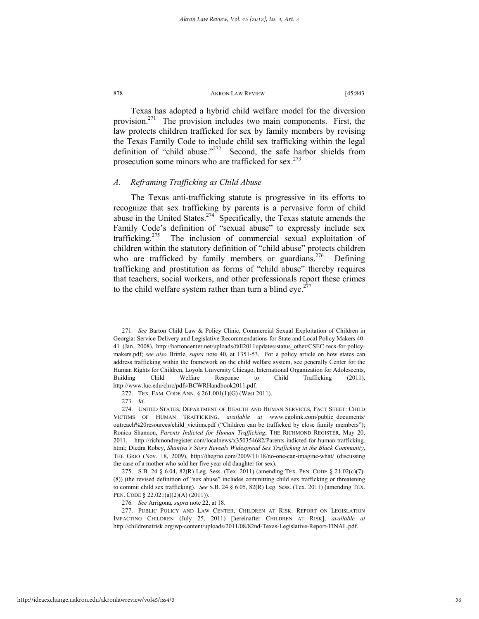Texas has adopted a hybrid child welfare model for the diversion provision.<sup>271</sup> The provision includes two main components. First, the law protects children trafficked for sex by family members by revising the Texas Family Code to include child sex trafficking within the legal definition of "child abuse." $272$  Second, the safe harbor shields from prosecution some minors who are trafficked for sex.<sup>273</sup>

### *A. Reframing Trafficking as Child Abuse*

The Texas anti-trafficking statute is progressive in its efforts to recognize that sex trafficking by parents is a pervasive form of child abuse in the United States.<sup>274</sup> Specifically, the Texas statute amends the Family Code's definition of "sexual abuse" to expressly include sex trafficking.<sup>275</sup> The inclusion of commercial sexual exploitation of children within the statutory definition of "child abuse" protects children who are trafficked by family members or guardians.<sup>276</sup> Defining trafficking and prostitution as forms of "child abuse" thereby requires that teachers, social workers, and other professionals report these crimes to the child welfare system rather than turn a blind eye.<sup>277</sup>

<sup>271</sup>*. See* Barton Child Law & Policy Clinic, Commercial Sexual Exploitation of Children in Georgia: Service Delivery and Legislative Recommendations for State and Local Policy Makers 40- 41 (Jan. 2008), http://bartoncenter.net/uploads/fall2011updates/status\_other/CSEC-recs-for-policymakers.pdf; *see also* Brittle, *supra* note 40, at 1351-53. For a policy article on how states can address trafficking within the framework on the child welfare system, see generally Center for the Human Rights for Children, Loyola University Chicago, International Organization for Adolescents, Building Child Welfare Response to Child Trafficking (2011), http://www.luc.edu/chrc/pdfs/BCWRHandbook2011.pdf.

 <sup>272.</sup> TEX. FAM. CODE ANN. § 261.001(1)(G) (West 2011).

 <sup>273.</sup> *Id*.

 <sup>274.</sup> UNITED STATES, DEPARTMENT OF HEALTH AND HUMAN SERVICES, FACT SHEET: CHILD VICTIMS OF HUMAN TRAFFICKING, *available at* www.egolink.com/public\_documents/ outreach%20resources/child\_victims.pdf ("Children can be trafficked by close family members"); Ronica Shannon, *Parents Indicted for Human Trafficking*, THE RICHMOND REGISTER, May 20, 2011, http://richmondregister.com/localnews/x350354682/Parents-indicted-for-human-trafficking. html; Diedra Robey, *Shaniya's Story Reveals Widespread Sex Trafficking in the Black Community*, THE GRIO (Nov. 18, 2009), http://thegrio.com/2009/11/18/no-one-can-imagine-what/ (discussing the case of a mother who sold her five year old daughter for sex).

 <sup>275.</sup> S.B. 24 § 6.04, 82(R) Leg. Sess. (Tex. 2011) (amending TEX. PEN. CODE § 21.02(c)(7)- (8)) (the revised definition of "sex abuse" includes committing child sex trafficking or threatening to commit child sex trafficking). *See* S.B. 24 § 6.05, 82(R) Leg. Sess. (Tex. 2011) (amending TEX. PEN. CODE § 22.021(a)(2)(A) (2011)).

<sup>276</sup>*. See* Arrigona, *supra* note 22, at 18.

 <sup>277.</sup> PUBLIC POLICY AND LAW CENTER, CHILDREN AT RISK: REPORT ON LEGISLATION IMPACTING CHILDREN (July 25, 2011) [hereinafter CHILDREN AT RISK], *available at*  http://childrenatrisk.org/wp-content/uploads/2011/08/82nd-Texas-Legislative-Report-FINAL.pdf.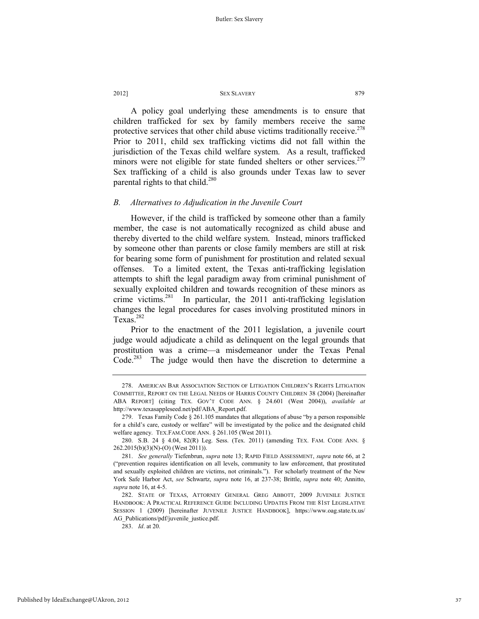A policy goal underlying these amendments is to ensure that children trafficked for sex by family members receive the same protective services that other child abuse victims traditionally receive.<sup>278</sup> Prior to 2011, child sex trafficking victims did not fall within the jurisdiction of the Texas child welfare system. As a result, trafficked minors were not eligible for state funded shelters or other services.<sup>279</sup> Sex trafficking of a child is also grounds under Texas law to sever parental rights to that child.<sup>280</sup>

### *B. Alternatives to Adjudication in the Juvenile Court*

However, if the child is trafficked by someone other than a family member, the case is not automatically recognized as child abuse and thereby diverted to the child welfare system. Instead, minors trafficked by someone other than parents or close family members are still at risk for bearing some form of punishment for prostitution and related sexual offenses. To a limited extent, the Texas anti-trafficking legislation attempts to shift the legal paradigm away from criminal punishment of sexually exploited children and towards recognition of these minors as crime victims.<sup>281</sup> In particular, the 2011 anti-trafficking legislation changes the legal procedures for cases involving prostituted minors in Texas.<sup>282</sup>

Prior to the enactment of the 2011 legislation, a juvenile court judge would adjudicate a child as delinquent on the legal grounds that prostitution was a crime—a misdemeanor under the Texas Penal Code.<sup>283</sup> The judge would then have the discretion to determine a

 <sup>278.</sup> AMERICAN BAR ASSOCIATION SECTION OF LITIGATION CHILDREN'S RIGHTS LITIGATION COMMITTEE, REPORT ON THE LEGAL NEEDS OF HARRIS COUNTY CHILDREN 38 (2004) [hereinafter ABA REPORT] (citing TEX. GOV'T CODE ANN. § 24.601 (West 2004)), *available at*  http://www.texasappleseed.net/pdf/ABA\_Report.pdf.

 <sup>279.</sup> Texas Family Code § 261.105 mandates that allegations of abuse "by a person responsible for a child's care, custody or welfare" will be investigated by the police and the designated child welfare agency. TEX.FAM.CODE ANN. § 261.105 (West 2011).

 <sup>280.</sup> S.B. 24 § 4.04, 82(R) Leg. Sess. (Tex. 2011) (amending TEX. FAM. CODE ANN. § 262.2015(b)(3)(N)-(O) (West 2011)).

 <sup>281.</sup> *See generally* Tiefenbrun, *supra* note 13; RAPID FIELD ASSESSMENT, *supra* note 66, at 2 ("prevention requires identification on all levels, community to law enforcement, that prostituted and sexually exploited children are victims, not criminals."). For scholarly treatment of the New York Safe Harbor Act, *see* Schwartz, *supra* note 16, at 237-38; Brittle, *supra* note 40; Annitto, *supra* note 16, at 4-5.

 <sup>282.</sup> STATE OF TEXAS, ATTORNEY GENERAL GREG ABBOTT, 2009 JUVENILE JUSTICE HANDBOOK: A PRACTICAL REFERENCE GUIDE INCLUDING UPDATES FROM THE 81ST LEGISLATIVE SESSION 1 (2009) [hereinafter JUVENILE JUSTICE HANDBOOK], https://www.oag.state.tx.us/ AG\_Publications/pdf/juvenile\_justice.pdf.

 <sup>283.</sup> *Id*. at 20.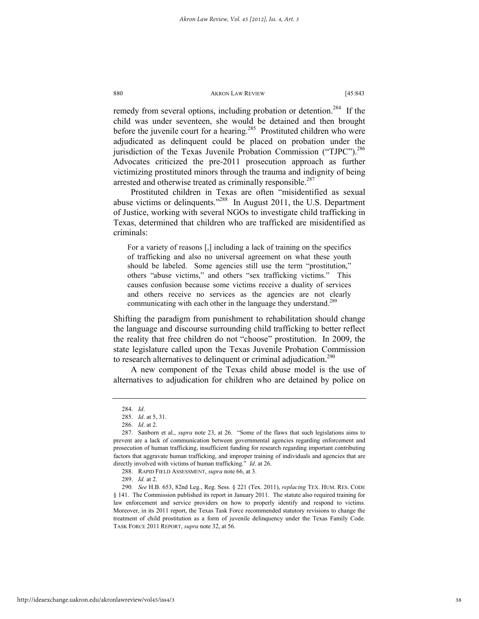remedy from several options, including probation or detention.<sup>284</sup> If the child was under seventeen, she would be detained and then brought before the juvenile court for a hearing.<sup>285</sup> Prostituted children who were adjudicated as delinquent could be placed on probation under the jurisdiction of the Texas Juvenile Probation Commission ("TJPC"). $^{286}$ Advocates criticized the pre-2011 prosecution approach as further victimizing prostituted minors through the trauma and indignity of being arrested and otherwise treated as criminally responsible.<sup>287</sup>

Prostituted children in Texas are often "misidentified as sexual abuse victims or delinquents."288 In August 2011, the U.S. Department of Justice, working with several NGOs to investigate child trafficking in Texas, determined that children who are trafficked are misidentified as criminals:

For a variety of reasons [,] including a lack of training on the specifics of trafficking and also no universal agreement on what these youth should be labeled. Some agencies still use the term "prostitution," others "abuse victims," and others "sex trafficking victims." This causes confusion because some victims receive a duality of services and others receive no services as the agencies are not clearly communicating with each other in the language they understand.<sup>289</sup>

Shifting the paradigm from punishment to rehabilitation should change the language and discourse surrounding child trafficking to better reflect the reality that free children do not "choose" prostitution. In 2009, the state legislature called upon the Texas Juvenile Probation Commission to research alternatives to delinquent or criminal adjudication.<sup>290</sup>

A new component of the Texas child abuse model is the use of alternatives to adjudication for children who are detained by police on

 <sup>284.</sup> *Id*.

 <sup>285.</sup> *Id*. at 5, 31.

 <sup>286.</sup> *Id*. at 2.

 <sup>287.</sup> Sanborn et al., *supra* note 23, at 26. "Some of the flaws that such legislations aims to prevent are a lack of communication between governmental agencies regarding enforcement and prosecution of human trafficking, insufficient funding for research regarding important contributing factors that aggravate human trafficking, and improper training of individuals and agencies that are directly involved with victims of human trafficking." *Id*. at 26.

 <sup>288.</sup> RAPID FIELD ASSESSMENT, *supra* note 66, at 3.

 <sup>289.</sup> *Id.* at 2.

<sup>290</sup>*. See* H.B. 653, 82nd Leg., Reg. Sess. § 221 (Tex. 2011), *replacing* TEX. HUM. RES. CODE § 141. The Commission published its report in January 2011. The statute also required training for law enforcement and service providers on how to properly identify and respond to victims. Moreover, in its 2011 report, the Texas Task Force recommended statutory revisions to change the treatment of child prostitution as a form of juvenile delinquency under the Texas Family Code. TASK FORCE 2011 REPORT, *supra* note 32, at 56.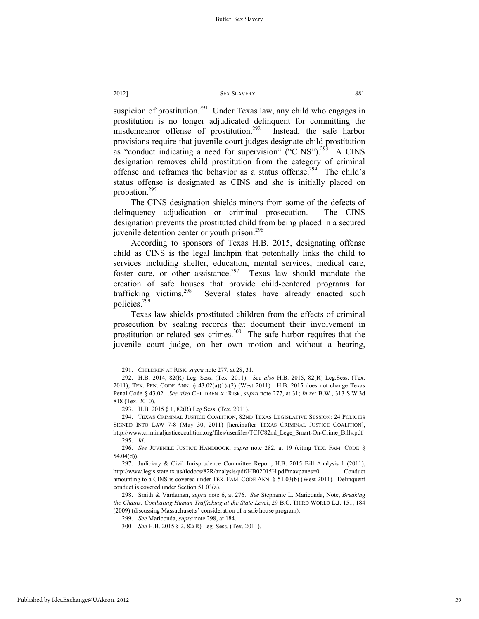suspicion of prostitution.<sup>291</sup> Under Texas law, any child who engages in prostitution is no longer adjudicated delinquent for committing the misdemeanor offense of prostitution.<sup>292</sup> Instead, the safe harbor provisions require that juvenile court judges designate child prostitution as "conduct indicating a need for supervision" ("CINS").<sup>293</sup> A CINS designation removes child prostitution from the category of criminal offense and reframes the behavior as a status offense.<sup>294</sup> The child's status offense is designated as CINS and she is initially placed on probation.295

The CINS designation shields minors from some of the defects of delinquency adjudication or criminal prosecution. The CINS designation prevents the prostituted child from being placed in a secured juvenile detention center or youth prison.<sup>296</sup>

According to sponsors of Texas H.B. 2015, designating offense child as CINS is the legal linchpin that potentially links the child to services including shelter, education, mental services, medical care, foster care, or other assistance.<sup>297</sup> Texas law should mandate the creation of safe houses that provide child-centered programs for trafficking victims.<sup>298</sup> Several states have already enacted such policies. $2^{59}$ 

Texas law shields prostituted children from the effects of criminal prosecution by sealing records that document their involvement in prostitution or related sex crimes. $300$  The safe harbor requires that the juvenile court judge, on her own motion and without a hearing,

 <sup>291.</sup> CHILDREN AT RISK, *supra* note 277, at 28, 31.

 <sup>292.</sup> H.B. 2014, 82(R) Leg. Sess. (Tex. 2011). *See also* H.B. 2015, 82(R) Leg.Sess. (Tex. 2011); TEX. PEN. CODE ANN. § 43.02(a)(1)-(2) (West 2011). H.B. 2015 does not change Texas Penal Code § 43.02. *See also* CHILDREN AT RISK, *supra* note 277, at 31; *In re:* B.W., 313 S.W.3d 818 (Tex. 2010).

 <sup>293.</sup> H.B. 2015 § 1, 82(R) Leg.Sess. (Tex. 2011).

 <sup>294.</sup> TEXAS CRIMINAL JUSTICE COALITION, 82ND TEXAS LEGISLATIVE SESSION: 24 POLICIES SIGNED INTO LAW 7-8 (May 30, 2011) [hereinafter TEXAS CRIMINAL JUSTICE COALITION], http://www.criminaljusticecoalition.org/files/userfiles/TCJC82nd\_Lege\_Smart-On-Crime\_Bills.pdf 295. *Id*.

 <sup>296.</sup> *See* JUVENILE JUSTICE HANDBOOK, *supra* note 282, at 19 (citing TEX. FAM. CODE § 54.04(d)).

 <sup>297.</sup> Judiciary & Civil Jurisprudence Committee Report, H.B. 2015 Bill Analysis 1 (2011), http://www.legis.state.tx.us/tlodocs/82R/analysis/pdf/HB02015H.pdf#navpanes=0. Conduct amounting to a CINS is covered under TEX. FAM. CODE ANN. § 51.03(b) (West 2011). Delinquent conduct is covered under Section 51.03(a).

 <sup>298.</sup> Smith & Vardaman, *supra* note 6, at 276. *See* Stephanie L. Mariconda, Note, *Breaking the Chains: Combating Human Trafficking at the State Level*, 29 B.C. THIRD WORLD L.J. 151, 184 (2009) (discussing Massachusetts' consideration of a safe house program).

 <sup>299.</sup> *See* Mariconda, *supra* note 298, at 184.

<sup>300</sup>*. See* H.B. 2015 § 2, 82(R) Leg. Sess. (Tex. 2011).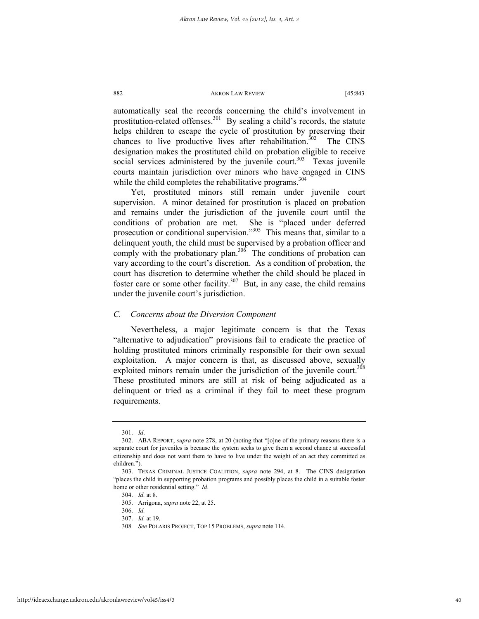automatically seal the records concerning the child's involvement in prostitution-related offenses.<sup>301</sup> By sealing a child's records, the statute helps children to escape the cycle of prostitution by preserving their chances to live productive lives after rehabilitation.<sup>302</sup> The CINS designation makes the prostituted child on probation eligible to receive social services administered by the juvenile court.<sup>303</sup> Texas juvenile courts maintain jurisdiction over minors who have engaged in CINS while the child completes the rehabilitative programs.<sup>304</sup>

Yet, prostituted minors still remain under juvenile court supervision. A minor detained for prostitution is placed on probation and remains under the jurisdiction of the juvenile court until the conditions of probation are met. She is "placed under deferred prosecution or conditional supervision."305 This means that, similar to a delinquent youth, the child must be supervised by a probation officer and comply with the probationary plan.<sup>306</sup> The conditions of probation can vary according to the court's discretion. As a condition of probation, the court has discretion to determine whether the child should be placed in foster care or some other facility.<sup>307</sup> But, in any case, the child remains under the juvenile court's jurisdiction.

### *C. Concerns about the Diversion Component*

Nevertheless, a major legitimate concern is that the Texas "alternative to adjudication" provisions fail to eradicate the practice of holding prostituted minors criminally responsible for their own sexual exploitation. A major concern is that, as discussed above, sexually exploited minors remain under the jurisdiction of the juvenile court.<sup>308</sup> These prostituted minors are still at risk of being adjudicated as a delinquent or tried as a criminal if they fail to meet these program requirements.

 <sup>301.</sup> *Id*.

 <sup>302.</sup> ABA REPORT, *supra* note 278, at 20 (noting that "[o]ne of the primary reasons there is a separate court for juveniles is because the system seeks to give them a second chance at successful citizenship and does not want them to have to live under the weight of an act they committed as children.").

 <sup>303.</sup> TEXAS CRIMINAL JUSTICE COALITION, *supra* note 294, at 8. The CINS designation "places the child in supporting probation programs and possibly places the child in a suitable foster home or other residential setting." *Id*.

 <sup>304.</sup> *Id.* at 8.

 <sup>305.</sup> Arrigona, *supra* note 22, at 25.

 <sup>306.</sup> *Id.*

 <sup>307.</sup> *Id.* at 19.

<sup>308</sup>*. See* POLARIS PROJECT, TOP 15 PROBLEMS, *supra* note 114.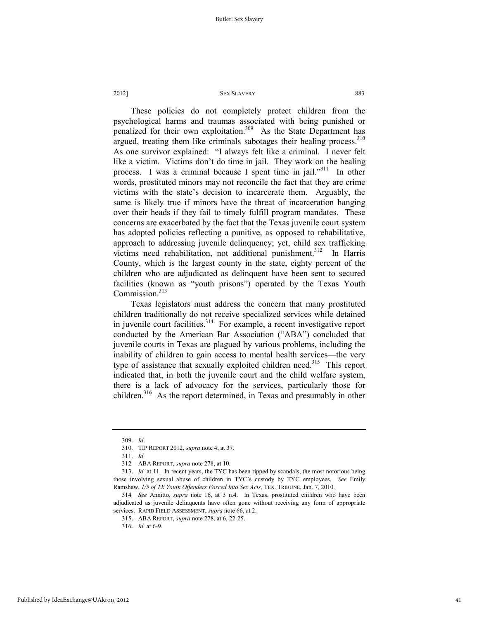These policies do not completely protect children from the psychological harms and traumas associated with being punished or penalized for their own exploitation.<sup>309</sup> As the State Department has argued, treating them like criminals sabotages their healing process.<sup>310</sup> As one survivor explained: "I always felt like a criminal. I never felt like a victim. Victims don't do time in jail. They work on the healing process. I was a criminal because I spent time in jail."<sup>311</sup> In other words, prostituted minors may not reconcile the fact that they are crime victims with the state's decision to incarcerate them. Arguably, the same is likely true if minors have the threat of incarceration hanging over their heads if they fail to timely fulfill program mandates. These concerns are exacerbated by the fact that the Texas juvenile court system has adopted policies reflecting a punitive, as opposed to rehabilitative, approach to addressing juvenile delinquency; yet, child sex trafficking victims need rehabilitation, not additional punishment.<sup>312</sup> In Harris County, which is the largest county in the state, eighty percent of the children who are adjudicated as delinquent have been sent to secured facilities (known as "youth prisons") operated by the Texas Youth Commission.<sup>313</sup>

Texas legislators must address the concern that many prostituted children traditionally do not receive specialized services while detained in juvenile court facilities.<sup>314</sup> For example, a recent investigative report conducted by the American Bar Association ("ABA") concluded that juvenile courts in Texas are plagued by various problems, including the inability of children to gain access to mental health services—the very type of assistance that sexually exploited children need.<sup>315</sup> This report indicated that, in both the juvenile court and the child welfare system, there is a lack of advocacy for the services, particularly those for children.<sup>316</sup> As the report determined, in Texas and presumably in other

 <sup>309.</sup> *Id*.

 <sup>310.</sup> TIP REPORT 2012, *supra* note 4, at 37.

 <sup>311.</sup> *Id.*

<sup>312</sup>*.* ABA REPORT, *supra* note 278, at 10.

 <sup>313.</sup> *Id.* at 11. In recent years, the TYC has been ripped by scandals, the most notorious being those involving sexual abuse of children in TYC's custody by TYC employees. *See* Emily Ramshaw, *1/5 of TX Youth Offenders Forced Into Sex Acts*, TEX. TRIBUNE, Jan. 7, 2010.

<sup>314</sup>*. See* Annitto, *supra* note 16, at 3 n.4. In Texas, prostituted children who have been adjudicated as juvenile delinquents have often gone without receiving any form of appropriate services. RAPID FIELD ASSESSMENT, *supra* note 66, at 2.

 <sup>315.</sup> ABA REPORT, *supra* note 278, at 6, 22-25.

 <sup>316.</sup> *Id.* at 6-9.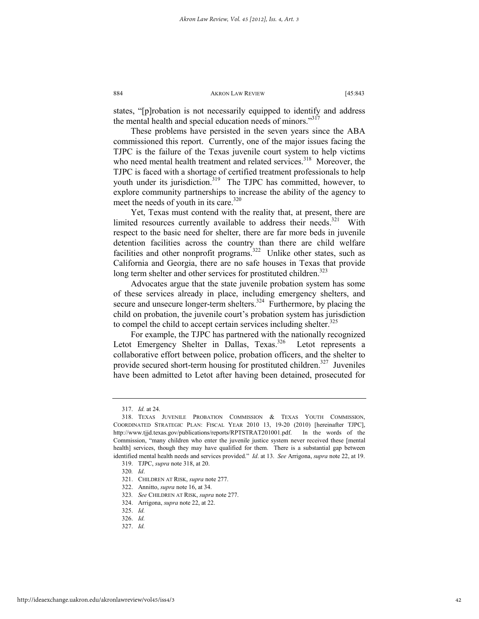states, "[p]robation is not necessarily equipped to identify and address the mental health and special education needs of minors."<sup>317</sup>

These problems have persisted in the seven years since the ABA commissioned this report. Currently, one of the major issues facing the TJPC is the failure of the Texas juvenile court system to help victims who need mental health treatment and related services.<sup>318</sup> Moreover, the TJPC is faced with a shortage of certified treatment professionals to help youth under its jurisdiction.<sup>319</sup> The TJPC has committed, however, to explore community partnerships to increase the ability of the agency to meet the needs of youth in its care.<sup>320</sup>

Yet, Texas must contend with the reality that, at present, there are limited resources currently available to address their needs. $321$  With respect to the basic need for shelter, there are far more beds in juvenile detention facilities across the country than there are child welfare facilities and other nonprofit programs.<sup>322</sup> Unlike other states, such as California and Georgia, there are no safe houses in Texas that provide long term shelter and other services for prostituted children.<sup>323</sup>

Advocates argue that the state juvenile probation system has some of these services already in place, including emergency shelters, and secure and unsecure longer-term shelters.<sup>324</sup> Furthermore, by placing the child on probation, the juvenile court's probation system has jurisdiction to compel the child to accept certain services including shelter.<sup>325</sup>

For example, the TJPC has partnered with the nationally recognized Letot Emergency Shelter in Dallas, Texas.<sup>326</sup> Letot represents a collaborative effort between police, probation officers, and the shelter to provide secured short-term housing for prostituted children.<sup>327</sup> Juveniles have been admitted to Letot after having been detained, prosecuted for

 <sup>317.</sup> *Id.* at 24.

 <sup>318.</sup> TEXAS JUVENILE PROBATION COMMISSION & TEXAS YOUTH COMMISSION, COORDINATED STRATEGIC PLAN: FISCAL YEAR 2010 13, 19-20 (2010) [hereinafter TJPC], http://www.tjjd.texas.gov/publications/reports/RPTSTRAT201001.pdf. In the words of the Commission, "many children who enter the juvenile justice system never received these [mental health] services, though they may have qualified for them. There is a substantial gap between identified mental health needs and services provided." *Id*. at 13. *See* Arrigona, *supra* note 22, at 19.

 <sup>319.</sup> TJPC, *supra* note 318, at 20.

<sup>320</sup>*. Id*.

 <sup>321.</sup> CHILDREN AT RISK, *supra* note 277.

 <sup>322.</sup> Annitto, *supra* note 16, at 34.

<sup>323</sup>*. See* CHILDREN AT RISK, *supra* note 277.

 <sup>324.</sup> Arrigona, *supra* note 22, at 22.

<sup>325.</sup> *Id.*

 <sup>326.</sup> *Id.*

 <sup>327.</sup> *Id.*